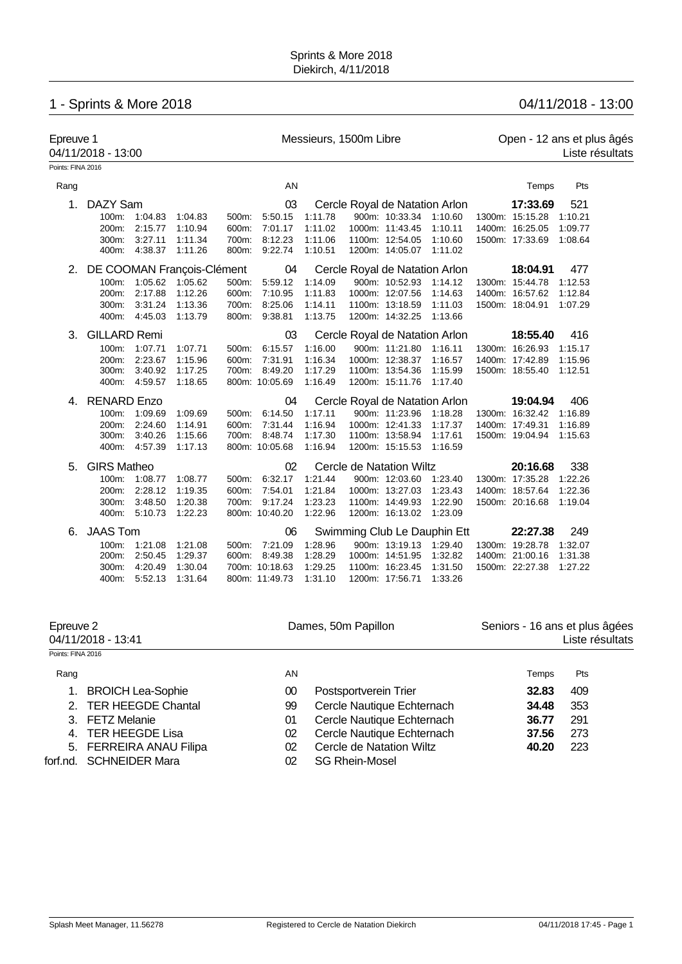# 1 - Sprints & More 2018 04/11/2018 - 13:00

| Epreuve 1<br>04/11/2018 - 13:00 |                            |                       |         | Messieurs, 1500m Libre |                       |         |  |                                |                                          | Open - 12 ans et plus âgés<br>Liste résultats |                         |         |  |
|---------------------------------|----------------------------|-----------------------|---------|------------------------|-----------------------|---------|--|--------------------------------|------------------------------------------|-----------------------------------------------|-------------------------|---------|--|
| Points: FINA 2016               |                            |                       |         |                        |                       |         |  |                                |                                          |                                               |                         |         |  |
| Rang                            |                            |                       |         |                        | AN                    |         |  |                                |                                          |                                               | Temps                   | Pts     |  |
| 1 <sub>1</sub>                  | DAZY Sam                   |                       |         |                        | 03                    |         |  |                                | Cercle Royal de Natation Arlon           |                                               | 17:33.69                | 521     |  |
|                                 |                            | 100m: 1:04.83         | 1:04.83 |                        | 500m: 5:50.15         | 1:11.78 |  | 900m: 10:33.34 1:10.60         |                                          |                                               | 1300m: 15:15.28         | 1:10.21 |  |
|                                 | $200m$ :                   | 2:15.77               | 1:10.94 | 600m:                  | 7:01.17               | 1:11.02 |  | 1000m: 11:43.45                | 1:10.11                                  |                                               | 1400m: 16:25.05         | 1:09.77 |  |
|                                 | 300m:                      | 3:27.11               | 1:11.34 |                        | 700m: 8:12.23         | 1:11.06 |  | 1100m: 12:54.05 1:10.60        |                                          |                                               | 1500m: 17:33.69 1:08.64 |         |  |
|                                 | 400m:                      | 4:38.37               | 1:11.26 |                        | 800m: 9:22.74         | 1:10.51 |  | 1200m: 14:05.07 1:11.02        |                                          |                                               |                         |         |  |
| 2.                              | DE COOMAN François-Clément |                       |         |                        | 04                    |         |  | Cercle Royal de Natation Arlon |                                          |                                               | 18:04.91                | 477     |  |
|                                 | 100m:                      | 1:05.62 1:05.62       |         |                        | 500m: 5:59.12         | 1:14.09 |  | 900m: 10:52.93 1:14.12         |                                          |                                               | 1300m: 15:44.78         | 1:12.53 |  |
|                                 | 200m:                      | 2:17.88               | 1:12.26 | 600m:                  | 7:10.95               | 1:11.83 |  | 1000m: 12:07.56                | 1:14.63                                  |                                               | 1400m: 16:57.62         | 1:12.84 |  |
|                                 | 300m:                      | 3:31.24               | 1:13.36 | 700m:                  | 8:25.06               | 1:14.11 |  | 1100m: 13:18.59                | 1:11.03                                  |                                               | 1500m: 18:04.91         | 1:07.29 |  |
|                                 |                            | 400m: 4:45.03         | 1:13.79 |                        | 800m: 9:38.81         | 1:13.75 |  | 1200m: 14:32.25                | 1:13.66                                  |                                               |                         |         |  |
| 3.                              | <b>GILLARD Remi</b>        |                       |         |                        | 03                    |         |  |                                | Cercle Royal de Natation Arlon           |                                               | 18:55.40                | 416     |  |
|                                 | 100m:                      | 1:07.71               | 1:07.71 | 500m:                  | 6:15.57               | 1:16.00 |  | 900m: 11:21.80                 | 1:16.11                                  |                                               | 1300m: 16:26.93         | 1:15.17 |  |
|                                 | 200m:                      | 2:23.67               | 1:15.96 | 600m:                  | 7:31.91               | 1:16.34 |  | 1000m: 12:38.37 1:16.57        |                                          |                                               | 1400m: 17:42.89         | 1:15.96 |  |
|                                 | 300m:                      | 3:40.92               | 1:17.25 |                        | 700m: 8:49.20         | 1:17.29 |  | 1100m: 13:54.36 1:15.99        |                                          |                                               | 1500m: 18:55.40 1:12.51 |         |  |
|                                 |                            | 400m: 4:59.57 1:18.65 |         |                        | 800m: 10:05.69        | 1:16.49 |  | 1200m: 15:11.76 1:17.40        |                                          |                                               |                         |         |  |
| 4.                              | <b>RENARD Enzo</b>         |                       |         |                        | 04                    |         |  | Cercle Royal de Natation Arlon |                                          |                                               | 19:04.94                | 406     |  |
|                                 | 100m:                      | 1:09.69               | 1:09.69 |                        | 500m: 6:14.50         | 1:17.11 |  |                                | 900m: 11:23.96  1:18.28  1300m: 16:32.42 |                                               |                         | 1:16.89 |  |
|                                 | 200m:                      | 2:24.60               | 1:14.91 |                        | 600m: 7:31.44         | 1:16.94 |  | 1000m: 12:41.33                | 1:17.37                                  |                                               | 1400m: 17:49.31         | 1:16.89 |  |
|                                 |                            | 300m: 3:40.26         | 1:15.66 |                        | 700m: 8:48.74         | 1:17.30 |  | 1100m: 13:58.94 1:17.61        |                                          |                                               | 1500m: 19:04.94 1:15.63 |         |  |
|                                 |                            | 400m: 4:57.39         | 1:17.13 |                        | 800m: 10:05.68        | 1:16.94 |  | 1200m: 15:15.53 1:16.59        |                                          |                                               |                         |         |  |
| 5.                              | <b>GIRS Matheo</b>         |                       |         |                        | 02                    |         |  | Cercle de Natation Wiltz       |                                          |                                               | 20:16.68                | 338     |  |
|                                 | 100m:                      | 1:08.77 1:08.77       |         |                        | 500m: 6:32.17 1:21.44 |         |  | 900m: 12:03.60 1:23.40         |                                          |                                               | 1300m: 17:35.28         | 1:22.26 |  |
|                                 | 200m:                      | 2:28.12               | 1:19.35 |                        | 600m: 7:54.01         | 1:21.84 |  | 1000m: 13:27.03 1:23.43        |                                          |                                               | 1400m: 18:57.64 1:22.36 |         |  |
|                                 | 300m:                      | 3:48.50               | 1:20.38 |                        | 700m: 9:17.24         | 1:23.23 |  | 1100m: 14:49.93                | 1:22.90                                  |                                               | 1500m: 20:16.68 1:19.04 |         |  |
|                                 |                            | 400m: 5:10.73         | 1:22.23 |                        | 800m: 10:40.20        | 1:22.96 |  | 1200m: 16:13.02 1:23.09        |                                          |                                               |                         |         |  |
| 6.                              | <b>JAAS Tom</b>            |                       |         |                        | 06                    |         |  |                                | Swimming Club Le Dauphin Ett             |                                               | 22:27.38                | 249     |  |
|                                 |                            | 100m: 1:21.08         | 1:21.08 |                        | 500m: 7:21.09         | 1:28.96 |  | 900m: 13:19.13 1:29.40         |                                          |                                               | 1300m: 19:28.78         | 1:32.07 |  |
|                                 | 200m:                      | 2:50.45               | 1:29.37 |                        | 600m: 8:49.38         | 1:28.29 |  | 1000m: 14:51.95                | 1:32.82                                  |                                               | 1400m: 21:00.16         | 1:31.38 |  |
|                                 | 300m.                      | 4:20.49               | 1:30.04 |                        | 700m: 10:18.63        | 1:29.25 |  | 1100m: 16:23.45                | 1:31.50                                  |                                               | 1500m: 22:27.38         | 1:27.22 |  |
|                                 |                            | 400m: 5:52.13         | 1:31.64 |                        | 800m: 11:49.73        | 1:31.10 |  | 1200m: 17:56.71                | 1:33.26                                  |                                               |                         |         |  |

| Epreuve 2<br>04/11/2018 - 13:41 |                          |    | Dames, 50m Papillon        | Seniors - 16 ans et plus âgées<br>Liste résultats |            |  |
|---------------------------------|--------------------------|----|----------------------------|---------------------------------------------------|------------|--|
| Points: FINA 2016               |                          |    |                            |                                                   |            |  |
| Rang                            |                          | AN |                            | Temps                                             | <b>Pts</b> |  |
|                                 | <b>BROICH Lea-Sophie</b> | 00 | Postsportverein Trier      | 32.83                                             | 409        |  |
|                                 | 2. TER HEEGDE Chantal    | 99 | Cercle Nautique Echternach | 34.48                                             | 353        |  |
|                                 | 3. FETZ Melanie          | 01 | Cercle Nautique Echternach | 36.77                                             | 291        |  |
|                                 | 4. TER HEEGDE Lisa       | 02 | Cercle Nautique Echternach | 37.56                                             | 273        |  |
|                                 | 5. FERREIRA ANAU Filipa  | 02 | Cercle de Natation Wiltz   | 40.20                                             | 223        |  |
| forf.nd.                        | SCHNEIDER Mara           | 02 | <b>SG Rhein-Mosel</b>      |                                                   |            |  |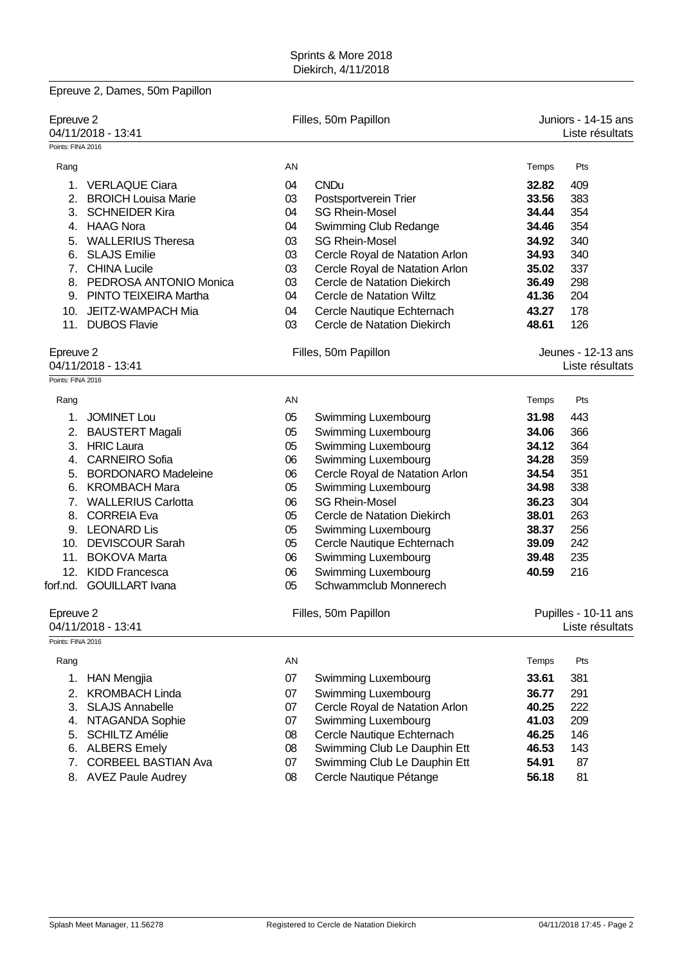| Epreuve 2, Dames, 50m Papillon       |    |                                |       |                                        |  |
|--------------------------------------|----|--------------------------------|-------|----------------------------------------|--|
| Epreuve 2<br>04/11/2018 - 13:41      |    | Filles, 50m Papillon           |       | Juniors - 14-15 ans<br>Liste résultats |  |
| Points: FINA 2016                    |    |                                |       |                                        |  |
| Rang                                 | AN |                                | Temps | Pts                                    |  |
| <b>VERLAQUE Ciara</b><br>$1_{\cdot}$ | 04 | <b>CNDu</b>                    | 32.82 | 409                                    |  |
| 2. BROICH Louisa Marie               | 03 | Postsportverein Trier          | 33.56 | 383                                    |  |
| 3. SCHNEIDER Kira                    | 04 | <b>SG Rhein-Mosel</b>          | 34.44 | 354                                    |  |
| 4. HAAG Nora                         | 04 | Swimming Club Redange          | 34.46 | 354                                    |  |
| 5. WALLERIUS Theresa                 | 03 | <b>SG Rhein-Mosel</b>          | 34.92 | 340                                    |  |
| 6. SLAJS Emilie                      | 03 | Cercle Royal de Natation Arlon | 34.93 | 340                                    |  |
| 7. CHINA Lucile                      | 03 | Cercle Royal de Natation Arlon | 35.02 | 337                                    |  |
| 8. PEDROSA ANTONIO Monica            | 03 | Cercle de Natation Diekirch    | 36.49 | 298                                    |  |
| 9. PINTO TEIXEIRA Martha             | 04 | Cercle de Natation Wiltz       | 41.36 | 204                                    |  |
| 10. JEITZ-WAMPACH Mia                | 04 | Cercle Nautique Echternach     | 43.27 | 178                                    |  |
| 11. DUBOS Flavie                     | 03 | Cercle de Natation Diekirch    | 48.61 | 126                                    |  |
| Epreuve 2                            |    | Filles, 50m Papillon           |       | Jeunes - 12-13 ans                     |  |
| 04/11/2018 - 13:41                   |    |                                |       | Liste résultats                        |  |
| Points: FINA 2016                    |    |                                |       |                                        |  |
|                                      | AN |                                | Temps | Pts                                    |  |
| Rang                                 |    |                                |       |                                        |  |
| <b>JOMINET Lou</b><br>1.             | 05 | Swimming Luxembourg            | 31.98 | 443                                    |  |
| 2. BAUSTERT Magali                   | 05 | Swimming Luxembourg            | 34.06 | 366                                    |  |
| 3. HRIC Laura                        | 05 | Swimming Luxembourg            | 34.12 | 364                                    |  |
| <b>CARNEIRO Sofia</b><br>4.          | 06 | Swimming Luxembourg            | 34.28 | 359                                    |  |
| 5. BORDONARO Madeleine               | 06 | Cercle Royal de Natation Arlon | 34.54 | 351                                    |  |
| 6. KROMBACH Mara                     | 05 | Swimming Luxembourg            | 34.98 | 338                                    |  |
| 7. WALLERIUS Carlotta                | 06 | <b>SG Rhein-Mosel</b>          | 36.23 | 304                                    |  |
| 8. CORREIA Eva                       | 05 | Cercle de Natation Diekirch    | 38.01 | 263                                    |  |
| 9. LEONARD Lis                       | 05 | Swimming Luxembourg            | 38.37 | 256                                    |  |
| 10. DEVISCOUR Sarah                  | 05 | Cercle Nautique Echternach     | 39.09 | 242                                    |  |
| 11. BOKOVA Marta                     | 06 | Swimming Luxembourg            | 39.48 | 235                                    |  |
| 12. KIDD Francesca                   | 06 | Swimming Luxembourg            | 40.59 | 216                                    |  |
| forf.nd. GOUILLART Ivana             | 05 | Schwammclub Monnerech          |       |                                        |  |
| Epreuve 2                            |    | Filles, 50m Papillon           |       | Pupilles - 10-11 ans                   |  |
| 04/11/2018 - 13:41                   |    |                                |       | Liste résultats                        |  |
| Points: FINA 2016                    |    |                                |       |                                        |  |
| Rang                                 | AN |                                | Temps | Pts                                    |  |
| 1.<br><b>HAN Mengjia</b>             | 07 | Swimming Luxembourg            | 33.61 | 381                                    |  |
| <b>KROMBACH Linda</b><br>2.          | 07 | Swimming Luxembourg            | 36.77 | 291                                    |  |
| <b>SLAJS Annabelle</b><br>3.         | 07 | Cercle Royal de Natation Arlon | 40.25 | 222                                    |  |
| NTAGANDA Sophie<br>4.                | 07 | Swimming Luxembourg            | 41.03 | 209                                    |  |
| <b>SCHILTZ Amélie</b><br>5.          | 08 | Cercle Nautique Echternach     | 46.25 | 146                                    |  |
| <b>ALBERS Emely</b><br>6.            | 08 | Swimming Club Le Dauphin Ett   | 46.53 | 143                                    |  |
| <b>CORBEEL BASTIAN Ava</b><br>7.     | 07 | Swimming Club Le Dauphin Ett   | 54.91 | 87                                     |  |
| 8. AVEZ Paule Audrey                 | 08 | Cercle Nautique Pétange        | 56.18 | 81                                     |  |
|                                      |    |                                |       |                                        |  |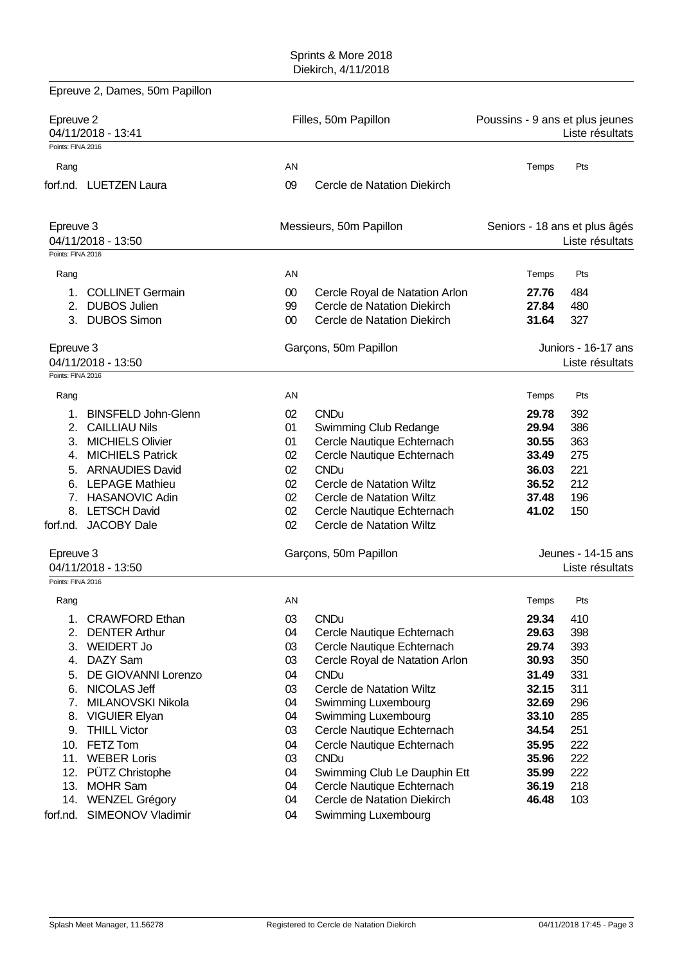|                   | Epreuve 2, Dames, 50m Papillon |        |                                                            |                                 |                               |
|-------------------|--------------------------------|--------|------------------------------------------------------------|---------------------------------|-------------------------------|
| Epreuve 2         | 04/11/2018 - 13:41             |        | Filles, 50m Papillon                                       | Poussins - 9 ans et plus jeunes | Liste résultats               |
| Points: FINA 2016 |                                |        |                                                            |                                 |                               |
| Rang              |                                | AN     |                                                            | Temps                           | Pts                           |
|                   | forf.nd. LUETZEN Laura         | 09     | Cercle de Natation Diekirch                                |                                 |                               |
| Epreuve 3         |                                |        | Messieurs, 50m Papillon                                    |                                 | Seniors - 18 ans et plus âgés |
| Points: FINA 2016 | 04/11/2018 - 13:50             |        |                                                            |                                 | Liste résultats               |
|                   |                                |        |                                                            |                                 |                               |
| Rang              |                                | AN     |                                                            | Temps                           | Pts                           |
| 1.                | <b>COLLINET Germain</b>        | 00     | Cercle Royal de Natation Arlon                             | 27.76                           | 484                           |
| 2.                | <b>DUBOS Julien</b>            | 99     | Cercle de Natation Diekirch                                | 27.84                           | 480                           |
|                   | 3. DUBOS Simon                 | $00\,$ | Cercle de Natation Diekirch                                | 31.64                           | 327                           |
| Epreuve 3         |                                |        | Garçons, 50m Papillon                                      |                                 | Juniors - 16-17 ans           |
|                   | 04/11/2018 - 13:50             |        |                                                            |                                 | Liste résultats               |
| Points: FINA 2016 |                                |        |                                                            |                                 |                               |
| Rang              |                                | AN     |                                                            | Temps                           | Pts                           |
| 1.                | <b>BINSFELD John-Glenn</b>     | 02     | <b>CNDu</b>                                                | 29.78                           | 392                           |
| 2.                | <b>CAILLIAU Nils</b>           | 01     | Swimming Club Redange                                      | 29.94                           | 386                           |
|                   | 3. MICHIELS Olivier            | 01     | Cercle Nautique Echternach                                 | 30.55                           | 363                           |
| 4.                | <b>MICHIELS Patrick</b>        | 02     | Cercle Nautique Echternach                                 | 33.49                           | 275                           |
|                   | 5. ARNAUDIES David             | 02     | <b>CNDu</b>                                                | 36.03                           | 221                           |
|                   | 6. LEPAGE Mathieu              | 02     | Cercle de Natation Wiltz                                   | 36.52                           | 212                           |
|                   | 7. HASANOVIC Adin              | 02     | Cercle de Natation Wiltz                                   | 37.48                           | 196                           |
|                   | 8. LETSCH David                | 02     | Cercle Nautique Echternach                                 | 41.02                           | 150                           |
|                   | forf.nd. JACOBY Dale           | 02     | Cercle de Natation Wiltz                                   |                                 |                               |
| Epreuve 3         |                                |        | Garçons, 50m Papillon                                      |                                 | Jeunes - 14-15 ans            |
|                   | 04/11/2018 - 13:50             |        |                                                            |                                 | Liste résultats               |
| Points: FINA 2016 |                                |        |                                                            |                                 |                               |
| Rang              |                                | AN     |                                                            | Temps                           | Pts                           |
| 1.                | <b>CRAWFORD Ethan</b>          | 03     | <b>CNDu</b>                                                | 29.34                           | 410                           |
| 2.                | <b>DENTER Arthur</b>           | 04     | Cercle Nautique Echternach                                 | 29.63                           | 398                           |
| 3.                | <b>WEIDERT Jo</b>              | 03     | Cercle Nautique Echternach                                 | 29.74                           | 393                           |
| 4.                | DAZY Sam                       | 03     | Cercle Royal de Natation Arlon                             | 30.93                           | 350                           |
| 5.                | DE GIOVANNI Lorenzo            | 04     | <b>CNDu</b>                                                | 31.49                           | 331                           |
| 6.                | NICOLAS Jeff                   | 03     | Cercle de Natation Wiltz                                   | 32.15                           | 311                           |
| 7.                | MILANOVSKI Nikola              | 04     | Swimming Luxembourg                                        | 32.69                           | 296                           |
| 8.                | <b>VIGUIER Elyan</b>           | 04     | Swimming Luxembourg                                        | 33.10                           | 285                           |
| 9.                | <b>THILL Victor</b>            | 03     | Cercle Nautique Echternach                                 | 34.54                           | 251                           |
| 10.               | FETZ Tom                       | 04     | Cercle Nautique Echternach                                 | 35.95                           | 222                           |
| 11.               | <b>WEBER Loris</b>             | 03     | <b>CNDu</b>                                                | 35.96                           | 222                           |
| 12.               | PÜTZ Christophe                | 04     |                                                            | 35.99                           | 222                           |
| 13.               | <b>MOHR Sam</b>                | 04     | Swimming Club Le Dauphin Ett<br>Cercle Nautique Echternach | 36.19                           | 218                           |
|                   |                                | 04     | Cercle de Natation Diekirch                                | 46.48                           | 103                           |
|                   | 14. WENZEL Grégory             |        |                                                            |                                 |                               |
| forf.nd.          | SIMEONOV Vladimir              | 04     | Swimming Luxembourg                                        |                                 |                               |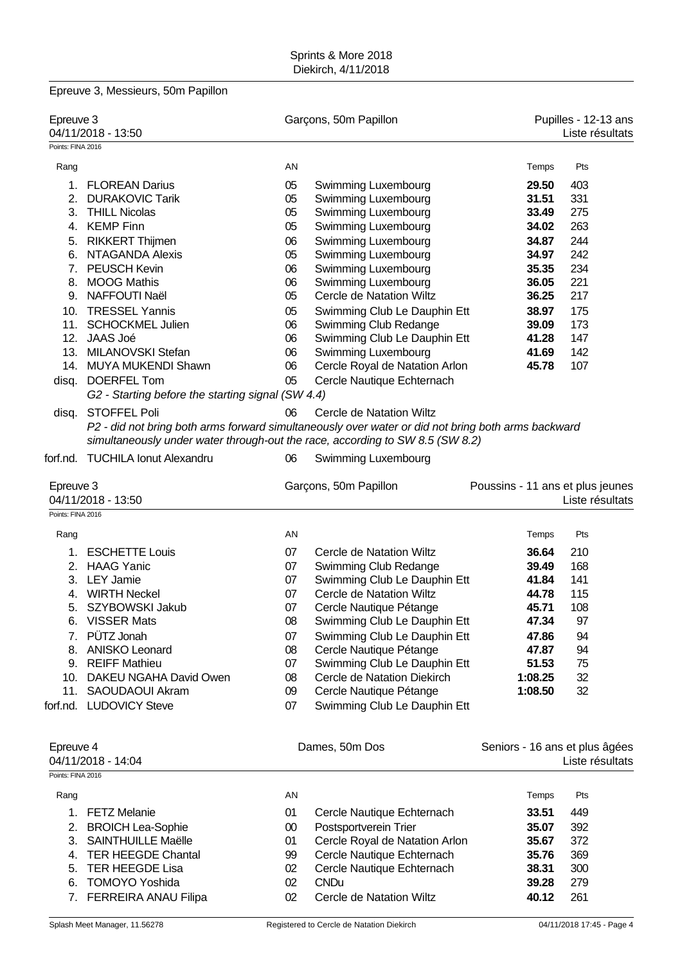|                                | Epreuve 3, Messieurs, 50m Papillon                                                                                                                                                  |          |                                                             |                                  |                                         |
|--------------------------------|-------------------------------------------------------------------------------------------------------------------------------------------------------------------------------------|----------|-------------------------------------------------------------|----------------------------------|-----------------------------------------|
| Epreuve 3                      | 04/11/2018 - 13:50                                                                                                                                                                  |          | Garçons, 50m Papillon                                       |                                  | Pupilles - 12-13 ans<br>Liste résultats |
| Points: FINA 2016              |                                                                                                                                                                                     |          |                                                             |                                  |                                         |
| Rang                           |                                                                                                                                                                                     | AN       |                                                             | Temps                            | Pts                                     |
| 1.                             | <b>FLOREAN Darius</b>                                                                                                                                                               | 05       | Swimming Luxembourg                                         | 29.50                            | 403                                     |
| 2.                             | <b>DURAKOVIC Tarik</b>                                                                                                                                                              | 05       | Swimming Luxembourg                                         | 31.51                            | 331                                     |
| 3.                             | <b>THILL Nicolas</b>                                                                                                                                                                | 05       | Swimming Luxembourg                                         | 33.49                            | 275                                     |
|                                | 4. KEMP Finn                                                                                                                                                                        | 05       | Swimming Luxembourg                                         | 34.02                            | 263                                     |
| 5.                             | <b>RIKKERT Thijmen</b>                                                                                                                                                              | 06       | Swimming Luxembourg                                         | 34.87                            | 244                                     |
| 6.                             | <b>NTAGANDA Alexis</b>                                                                                                                                                              | 05       | Swimming Luxembourg                                         | 34.97                            | 242                                     |
|                                | 7. PEUSCH Kevin                                                                                                                                                                     | 06       | Swimming Luxembourg                                         | 35.35                            | 234                                     |
| 8.                             | <b>MOOG Mathis</b>                                                                                                                                                                  | 06       | Swimming Luxembourg                                         | 36.05                            | 221                                     |
| 9.                             | NAFFOUTI Naël                                                                                                                                                                       | 05       | Cercle de Natation Wiltz                                    | 36.25                            | 217                                     |
|                                | 10. TRESSEL Yannis                                                                                                                                                                  | 05       | Swimming Club Le Dauphin Ett                                | 38.97                            | 175                                     |
|                                | 11. SCHOCKMEL Julien                                                                                                                                                                | 06       | Swimming Club Redange                                       | 39.09                            | 173                                     |
|                                | 12. JAAS Joé                                                                                                                                                                        | 06       | Swimming Club Le Dauphin Ett                                | 41.28                            | 147                                     |
|                                | 13. MILANOVSKI Stefan                                                                                                                                                               | 06       | Swimming Luxembourg                                         | 41.69                            | 142                                     |
|                                | 14. MUYA MUKENDI Shawn                                                                                                                                                              | 06       | Cercle Royal de Natation Arlon                              | 45.78                            | 107                                     |
|                                | disq. DOERFEL Tom<br>G2 - Starting before the starting signal (SW 4.4)                                                                                                              | 05       | Cercle Nautique Echternach                                  |                                  |                                         |
| disq.                          | <b>STOFFEL Poli</b>                                                                                                                                                                 | 06       | Cercle de Natation Wiltz                                    |                                  |                                         |
|                                | P2 - did not bring both arms forward simultaneously over water or did not bring both arms backward<br>simultaneously under water through-out the race, according to SW 8.5 (SW 8.2) |          |                                                             |                                  |                                         |
|                                | forf.nd. TUCHILA Ionut Alexandru                                                                                                                                                    | 06       | <b>Swimming Luxembourg</b>                                  |                                  |                                         |
| Epreuve 3<br>Points: FINA 2016 | 04/11/2018 - 13:50                                                                                                                                                                  |          | Garçons, 50m Papillon                                       | Poussins - 11 ans et plus jeunes | Liste résultats                         |
|                                |                                                                                                                                                                                     |          |                                                             |                                  |                                         |
| Rang                           |                                                                                                                                                                                     | AN       |                                                             | Temps                            | Pts                                     |
| 1.                             | <b>ESCHETTE Louis</b>                                                                                                                                                               | 07       | Cercle de Natation Wiltz                                    | 36.64                            | 210                                     |
|                                | 2. HAAG Yanic                                                                                                                                                                       | 07       | Swimming Club Redange                                       | 39.49                            | 168                                     |
|                                | 3. LEY Jamie                                                                                                                                                                        | 07       | Swimming Club Le Dauphin Ett                                | 41.84                            | 141                                     |
| 4.                             | <b>WIRTH Neckel</b>                                                                                                                                                                 | 07       | Cercle de Natation Wiltz                                    | 44.78                            | 115                                     |
|                                | 5. SZYBOWSKI Jakub                                                                                                                                                                  | 07       | Cercle Nautique Pétange                                     | 45.71                            | 108                                     |
|                                | 6. VISSER Mats                                                                                                                                                                      | 08       | Swimming Club Le Dauphin Ett                                | 47.34                            | 97                                      |
|                                | 7. PÜTZ Jonah                                                                                                                                                                       | 07       | Swimming Club Le Dauphin Ett                                | 47.86                            | 94                                      |
|                                | 8. ANISKO Leonard                                                                                                                                                                   | 08       | Cercle Nautique Pétange                                     | 47.87                            | 94                                      |
|                                | 9. REIFF Mathieu<br>10. DAKEU NGAHA David Owen                                                                                                                                      | 07<br>08 | Swimming Club Le Dauphin Ett<br>Cercle de Natation Diekirch | 51.53<br>1:08.25                 | 75<br>32                                |
|                                | 11. SAOUDAOUI Akram                                                                                                                                                                 | 09       | Cercle Nautique Pétange                                     | 1:08.50                          | 32                                      |
|                                | forf.nd. LUDOVICY Steve                                                                                                                                                             | 07       | Swimming Club Le Dauphin Ett                                |                                  |                                         |
|                                |                                                                                                                                                                                     |          |                                                             |                                  |                                         |
| Epreuve 4                      |                                                                                                                                                                                     |          | Dames, 50m Dos                                              | Seniors - 16 ans et plus âgées   |                                         |
|                                | 04/11/2018 - 14:04                                                                                                                                                                  |          |                                                             |                                  | Liste résultats                         |
| Points: FINA 2016              |                                                                                                                                                                                     |          |                                                             |                                  |                                         |
| Rang                           |                                                                                                                                                                                     | AN       |                                                             | Temps                            | Pts                                     |
|                                | 1. FETZ Melanie                                                                                                                                                                     | 01       | Cercle Nautique Echternach                                  | 33.51                            | 449                                     |
|                                | 2. BROICH Lea-Sophie                                                                                                                                                                | $00\,$   | Postsportverein Trier                                       | 35.07                            | 392                                     |
|                                | 3. SAINTHUILLE Maëlle                                                                                                                                                               | 01       | Cercle Royal de Natation Arlon                              | 35.67                            | 372                                     |
| 4.                             | <b>TER HEEGDE Chantal</b>                                                                                                                                                           | 99       | Cercle Nautique Echternach                                  | 35.76                            | 369                                     |
| 5.                             | <b>TER HEEGDE Lisa</b>                                                                                                                                                              | 02       | Cercle Nautique Echternach                                  | 38.31                            | 300                                     |
| 6.                             | <b>TOMOYO Yoshida</b>                                                                                                                                                               | 02       | <b>CNDu</b>                                                 | 39.28                            | 279                                     |

7. FERREIRA ANAU Filipa 02 Cercle de Natation Wiltz **40.12** 261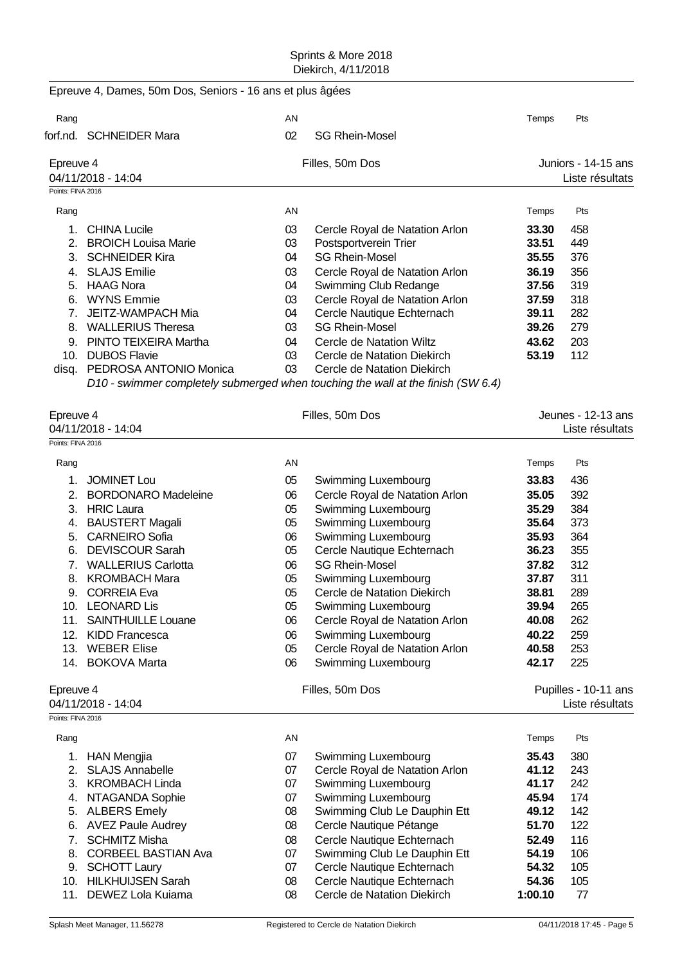| Rang                                                | AN |                                | Temps | Pts                 |
|-----------------------------------------------------|----|--------------------------------|-------|---------------------|
| forf.nd. SCHNEIDER Mara                             | 02 | <b>SG Rhein-Mosel</b>          |       |                     |
| Epreuve 4                                           |    | Filles, 50m Dos                |       | Juniors - 14-15 ans |
| 04/11/2018 - 14:04                                  |    |                                |       | Liste résultats     |
| Points: FINA 2016                                   |    |                                |       |                     |
| Rang                                                | AN |                                | Temps | Pts                 |
| <b>CHINA Lucile</b><br>1.                           | 03 | Cercle Royal de Natation Arlon | 33.30 | 458                 |
| 2. BROICH Louisa Marie                              | 03 | Postsportverein Trier          | 33.51 | 449                 |
| 3. SCHNEIDER Kira                                   | 04 | <b>SG Rhein-Mosel</b>          | 35.55 | 376                 |
| <b>SLAJS Emilie</b><br>$4_{\cdot}$                  | 03 | Cercle Royal de Natation Arlon | 36.19 | 356                 |
| HAAG Nora<br>5.                                     | 04 | Swimming Club Redange          | 37.56 | 319                 |
| WYNS Emmie<br>6.                                    | 03 | Cercle Royal de Natation Arlon | 37.59 | 318                 |
| JEITZ-WAMPACH Mia<br>$7_{\scriptscriptstyle{\sim}}$ | 04 | Cercle Nautique Echternach     | 39.11 | 282                 |
| <b>WALLERIUS Theresa</b><br>8.                      | 03 | <b>SG Rhein-Mosel</b>          | 39.26 | 279                 |
| PINTO TEIXEIRA Martha<br>9.                         | 04 | Cercle de Natation Wiltz       | 43.62 | 203                 |
| <b>DUBOS Flavie</b><br>10.                          | 03 | Cercle de Natation Diekirch    | 53.19 | 112                 |
| PEDROSA ANTONIO Monica<br>disq.                     | 03 | Cercle de Natation Diekirch    |       |                     |

| Epreuve 4         |                            |    | Filles, 50m Dos                | Jeunes - 12-13 ans   |                 |  |
|-------------------|----------------------------|----|--------------------------------|----------------------|-----------------|--|
|                   | 04/11/2018 - 14:04         |    |                                |                      | Liste résultats |  |
| Points: FINA 2016 |                            |    |                                |                      |                 |  |
| Rang              |                            | AN |                                | Temps                | Pts             |  |
| 1.                | <b>JOMINET Lou</b>         | 05 | Swimming Luxembourg            | 33.83                | 436             |  |
| 2.                | <b>BORDONARO Madeleine</b> | 06 | Cercle Royal de Natation Arlon | 35.05                | 392             |  |
| 3.                | <b>HRIC Laura</b>          | 05 | <b>Swimming Luxembourg</b>     | 35.29                | 384             |  |
| 4.                | <b>BAUSTERT Magali</b>     | 05 | Swimming Luxembourg            | 35.64                | 373             |  |
| 5.                | <b>CARNEIRO Sofia</b>      | 06 | Swimming Luxembourg            | 35.93                | 364             |  |
| 6.                | <b>DEVISCOUR Sarah</b>     | 05 | Cercle Nautique Echternach     | 36.23                | 355             |  |
| 7 <sub>1</sub>    | <b>WALLERIUS Carlotta</b>  | 06 | <b>SG Rhein-Mosel</b>          | 37.82                | 312             |  |
| 8.                | <b>KROMBACH Mara</b>       | 05 | Swimming Luxembourg            | 37.87                | 311             |  |
| 9.                | <b>CORREIA Eva</b>         | 05 | Cercle de Natation Diekirch    | 38.81                | 289             |  |
|                   | 10. LEONARD Lis            | 05 | Swimming Luxembourg            | 39.94                | 265             |  |
| 11.               | <b>SAINTHUILLE Louane</b>  | 06 | Cercle Royal de Natation Arlon | 40.08                | 262             |  |
| 12.               | <b>KIDD Francesca</b>      | 06 | Swimming Luxembourg            | 40.22                | 259             |  |
| 13.               | <b>WEBER Elise</b>         | 05 | Cercle Royal de Natation Arlon | 40.58                | 253             |  |
|                   | 14. BOKOVA Marta           | 06 | Swimming Luxembourg            | 42.17                | 225             |  |
| Epreuve 4         |                            |    | Filles, 50m Dos                | Pupilles - 10-11 ans |                 |  |
|                   | 04/11/2018 - 14:04         |    |                                |                      | Liste résultats |  |
| Points: FINA 2016 |                            |    |                                |                      |                 |  |
| Rang              |                            | AN |                                | Temps                | Pts             |  |
| 1.                | <b>HAN Mengjia</b>         | 07 | Swimming Luxembourg            | 35.43                | 380             |  |
| 2.                | <b>SLAJS Annabelle</b>     | 07 | Cercle Royal de Natation Arlon | 41.12                | 243             |  |
| 3.                | <b>KROMBACH Linda</b>      | 07 | Swimming Luxembourg            | 41.17                | 242             |  |
| 4.                | NTAGANDA Sophie            | 07 | Swimming Luxembourg            | 45.94                | 174             |  |
| 5.                | <b>ALBERS Emely</b>        | 08 | Swimming Club Le Dauphin Ett   | 49.12                | 142             |  |
| 6.                | <b>AVEZ Paule Audrey</b>   | 08 | Cercle Nautique Pétange        | 51.70                | 122             |  |

7. SCHMITZ Misha 08 Cercle Nautique Echternach **52.49** 116 8. CORBEEL BASTIAN Ava 07 Swimming Club Le Dauphin Ett **54.19** 106 9. SCHOTT Laury 07 Cercle Nautique Echternach **54.32** 105 10. HILKHUIJSEN Sarah 08 Cercle Nautique Echternach **54.36** 105 11. DEWEZ Lola Kuiama 08 Cercle de Natation Diekirch **1:00.10** 77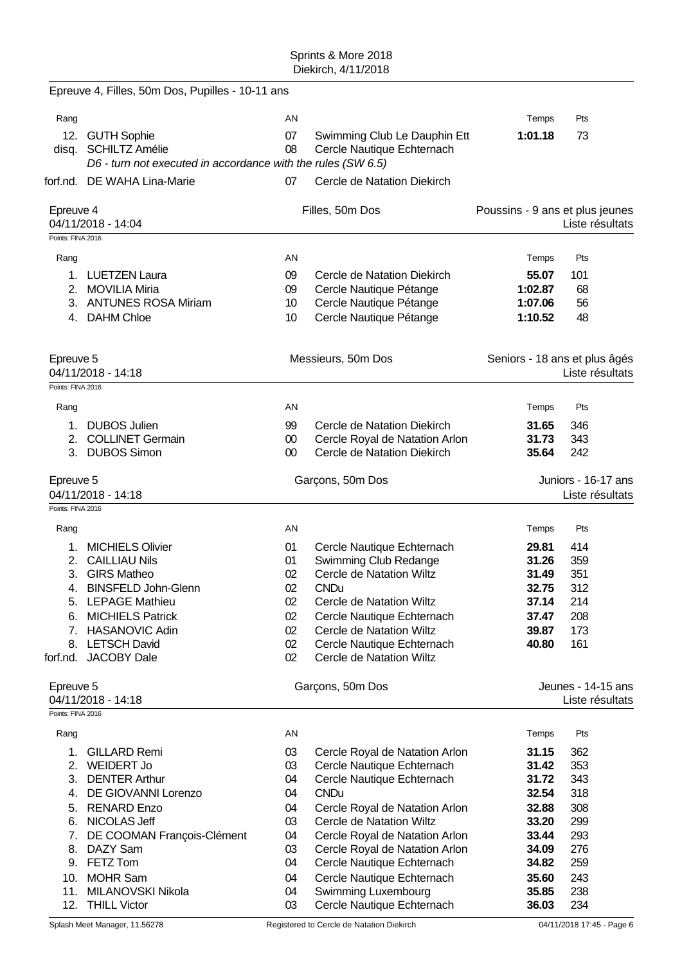|                   | Epreuve 4, Filles, 50m Dos, Pupilles - 10-11 ans             |          |                                                              |                                 |                                        |
|-------------------|--------------------------------------------------------------|----------|--------------------------------------------------------------|---------------------------------|----------------------------------------|
| Rang              |                                                              | AN       |                                                              | Temps                           | Pts                                    |
|                   | 12. GUTH Sophie                                              | 07       | Swimming Club Le Dauphin Ett                                 | 1:01.18                         | 73                                     |
|                   | disq. SCHILTZ Amélie                                         | 08       | Cercle Nautique Echternach                                   |                                 |                                        |
|                   | D6 - turn not executed in accordance with the rules (SW 6.5) |          |                                                              |                                 |                                        |
|                   | forf.nd. DE WAHA Lina-Marie                                  | 07       | Cercle de Natation Diekirch                                  |                                 |                                        |
| Epreuve 4         | 04/11/2018 - 14:04                                           |          | Filles, 50m Dos                                              | Poussins - 9 ans et plus jeunes | Liste résultats                        |
| Points: FINA 2016 |                                                              |          |                                                              |                                 |                                        |
| Rang              |                                                              | AN       |                                                              | Temps                           | Pts                                    |
|                   | 1. LUETZEN Laura                                             | 09       | Cercle de Natation Diekirch                                  | 55.07                           | 101                                    |
|                   | 2. MOVILIA Miria                                             | 09       | Cercle Nautique Pétange                                      | 1:02.87                         | 68                                     |
|                   | 3. ANTUNES ROSA Miriam                                       | 10       | Cercle Nautique Pétange                                      | 1:07.06                         | 56                                     |
|                   | 4. DAHM Chloe                                                | 10       | Cercle Nautique Pétange                                      | 1:10.52                         | 48                                     |
| Epreuve 5         |                                                              |          | Messieurs, 50m Dos                                           |                                 | Seniors - 18 ans et plus âgés          |
|                   | 04/11/2018 - 14:18                                           |          |                                                              |                                 | Liste résultats                        |
| Points: FINA 2016 |                                                              |          |                                                              |                                 |                                        |
| Rang              |                                                              | AN       |                                                              | Temps                           | Pts                                    |
| 1.                | <b>DUBOS Julien</b>                                          | 99       | Cercle de Natation Diekirch                                  | 31.65                           | 346                                    |
| 2.                | <b>COLLINET Germain</b>                                      | $00\,$   | Cercle Royal de Natation Arlon                               | 31.73                           | 343                                    |
|                   | 3. DUBOS Simon                                               | $00\,$   | Cercle de Natation Diekirch                                  | 35.64                           | 242                                    |
| Epreuve 5         | 04/11/2018 - 14:18                                           |          | Garçons, 50m Dos                                             |                                 | Juniors - 16-17 ans<br>Liste résultats |
| Points: FINA 2016 |                                                              |          |                                                              |                                 |                                        |
| Rang              |                                                              | AN       |                                                              | Temps                           | Pts                                    |
| 1.                | <b>MICHIELS Olivier</b>                                      | 01       | Cercle Nautique Echternach                                   | 29.81                           | 414                                    |
|                   | 2. CAILLIAU Nils                                             | 01       | Swimming Club Redange                                        | 31.26                           | 359                                    |
|                   | 3. GIRS Matheo                                               | 02       | Cercle de Natation Wiltz                                     | 31.49                           | 351                                    |
|                   | 4. BINSFELD John-Glenn                                       | 02       | <b>CNDu</b>                                                  | 32.75                           | 312                                    |
| 5.                | <b>LEPAGE Mathieu</b>                                        | 02       | Cercle de Natation Wiltz                                     | 37.14                           | 214                                    |
| 6.                | <b>MICHIELS Patrick</b>                                      | 02       | Cercle Nautique Echternach                                   | 37.47                           | 208                                    |
| 8.                | 7. HASANOVIC Adin<br><b>LETSCH David</b>                     | 02<br>02 | Cercle de Natation Wiltz<br>Cercle Nautique Echternach       | 39.87<br>40.80                  | 173<br>161                             |
| forf.nd.          | <b>JACOBY Dale</b>                                           | 02       | Cercle de Natation Wiltz                                     |                                 |                                        |
| Epreuve 5         | 04/11/2018 - 14:18                                           |          | Garçons, 50m Dos                                             |                                 | Jeunes - 14-15 ans<br>Liste résultats  |
| Points: FINA 2016 |                                                              |          |                                                              |                                 |                                        |
| Rang              |                                                              | AN       |                                                              | Temps                           | Pts                                    |
| 1.                | <b>GILLARD Remi</b>                                          | 03       | Cercle Royal de Natation Arlon                               | 31.15                           | 362                                    |
| 2.                | <b>WEIDERT Jo</b>                                            | 03       | Cercle Nautique Echternach                                   | 31.42                           | 353                                    |
| 3.                | <b>DENTER Arthur</b>                                         | 04       | Cercle Nautique Echternach                                   | 31.72                           | 343                                    |
| 4.                | DE GIOVANNI Lorenzo                                          | 04       | <b>CNDu</b>                                                  | 32.54                           | 318                                    |
| 5.                | <b>RENARD Enzo</b>                                           | 04       | Cercle Royal de Natation Arlon                               | 32.88                           | 308                                    |
| 6.                | NICOLAS Jeff                                                 | 03       | Cercle de Natation Wiltz                                     | 33.20                           | 299                                    |
| 7.<br>8.          | DE COOMAN François-Clément<br>DAZY Sam                       | 04<br>03 | Cercle Royal de Natation Arlon                               | 33.44<br>34.09                  | 293<br>276                             |
| 9.                | FETZ Tom                                                     | 04       | Cercle Royal de Natation Arlon<br>Cercle Nautique Echternach | 34.82                           | 259                                    |
| 10.               | <b>MOHR Sam</b>                                              | 04       | Cercle Nautique Echternach                                   | 35.60                           | 243                                    |
| 11.               | MILANOVSKI Nikola                                            | 04       | Swimming Luxembourg                                          | 35.85                           | 238                                    |
|                   | 12. THILL Victor                                             | 03       | Cercle Nautique Echternach                                   | 36.03                           | 234                                    |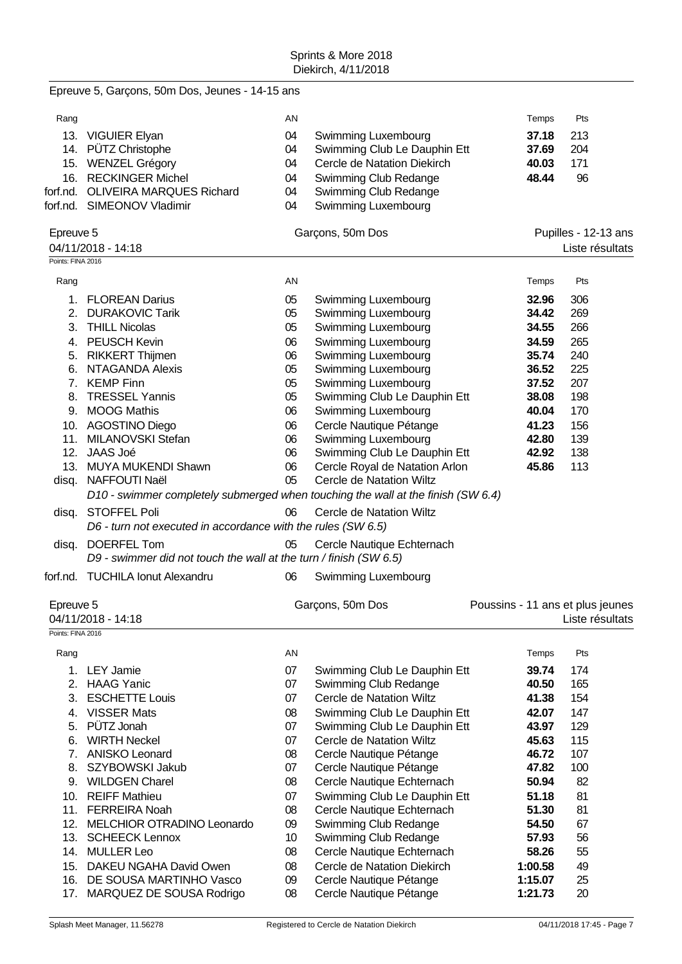|                                | Epreuve 5, Garçons, 50m Dos, Jeunes - 14-15 ans                                     |          |                                                |                                  |                                         |
|--------------------------------|-------------------------------------------------------------------------------------|----------|------------------------------------------------|----------------------------------|-----------------------------------------|
| Rang                           |                                                                                     | AN       |                                                | Temps                            | Pts                                     |
|                                | 13. VIGUIER Elyan                                                                   | 04       | Swimming Luxembourg                            | 37.18                            | 213                                     |
|                                | 14. PÜTZ Christophe                                                                 | 04       | Swimming Club Le Dauphin Ett                   | 37.69                            | 204                                     |
|                                | 15. WENZEL Grégory                                                                  | 04       | Cercle de Natation Diekirch                    | 40.03                            | 171                                     |
| 16.                            | <b>RECKINGER Michel</b>                                                             | 04       | Swimming Club Redange                          | 48.44                            | 96                                      |
| forf.nd.                       | <b>OLIVEIRA MARQUES Richard</b>                                                     | 04       | Swimming Club Redange                          |                                  |                                         |
|                                | forf.nd. SIMEONOV Vladimir                                                          | 04       | Swimming Luxembourg                            |                                  |                                         |
| Epreuve 5<br>Points: FINA 2016 | 04/11/2018 - 14:18                                                                  |          | Garçons, 50m Dos                               |                                  | Pupilles - 12-13 ans<br>Liste résultats |
| Rang                           |                                                                                     | AN       |                                                | Temps                            | Pts                                     |
| 1.                             | <b>FLOREAN Darius</b>                                                               | 05       | Swimming Luxembourg                            | 32.96                            | 306                                     |
|                                | 2. DURAKOVIC Tarik                                                                  | 05       | Swimming Luxembourg                            | 34.42                            | 269                                     |
|                                | 3. THILL Nicolas                                                                    | 05       | Swimming Luxembourg                            | 34.55                            | 266                                     |
|                                | 4. PEUSCH Kevin                                                                     | 06       | Swimming Luxembourg                            | 34.59                            | 265                                     |
| 5.                             | <b>RIKKERT Thijmen</b>                                                              | 06       | Swimming Luxembourg                            | 35.74                            | 240                                     |
|                                | 6. NTAGANDA Alexis                                                                  | 05       | Swimming Luxembourg                            | 36.52                            | 225                                     |
|                                | 7. KEMP Finn                                                                        | 05       | Swimming Luxembourg                            | 37.52                            | 207                                     |
| 8.                             | <b>TRESSEL Yannis</b>                                                               | 05       | Swimming Club Le Dauphin Ett                   | 38.08                            | 198                                     |
| 9.                             | <b>MOOG Mathis</b>                                                                  | 06       | Swimming Luxembourg                            | 40.04                            | 170                                     |
|                                | 10. AGOSTINO Diego                                                                  | 06       | Cercle Nautique Pétange                        | 41.23                            | 156                                     |
| 11.                            | MILANOVSKI Stefan                                                                   | 06       | Swimming Luxembourg                            | 42.80                            | 139                                     |
| 12.                            | JAAS Joé                                                                            | 06       | Swimming Club Le Dauphin Ett                   | 42.92                            | 138                                     |
|                                | 13. MUYA MUKENDI Shawn                                                              | 06       | Cercle Royal de Natation Arlon                 | 45.86                            | 113                                     |
| disq.                          | NAFFOUTI Naël                                                                       | 05       | Cercle de Natation Wiltz                       |                                  |                                         |
|                                | D10 - swimmer completely submerged when touching the wall at the finish (SW 6.4)    |          |                                                |                                  |                                         |
| disq.                          | <b>STOFFEL Poli</b><br>D6 - turn not executed in accordance with the rules (SW 6.5) | 06       | Cercle de Natation Wiltz                       |                                  |                                         |
| disq.                          | DOERFEL Tom                                                                         | 05       | Cercle Nautique Echternach                     |                                  |                                         |
|                                | D9 - swimmer did not touch the wall at the turn / finish (SW 6.5)                   |          |                                                |                                  |                                         |
|                                | forf.nd. TUCHILA Ionut Alexandru                                                    | 06       | Swimming Luxembourg                            |                                  |                                         |
| Epreuve 5                      |                                                                                     |          | Garçons, 50m Dos                               | Poussins - 11 ans et plus jeunes |                                         |
|                                | 04/11/2018 - 14:18                                                                  |          |                                                |                                  | Liste résultats                         |
| Points: FINA 2016              |                                                                                     |          |                                                |                                  |                                         |
| Rang                           |                                                                                     | AN       |                                                | Temps                            | Pts                                     |
| 1.                             | <b>LEY Jamie</b>                                                                    | 07       | Swimming Club Le Dauphin Ett                   | 39.74                            | 174                                     |
|                                | 2. HAAG Yanic                                                                       | 07       | Swimming Club Redange                          | 40.50                            | 165                                     |
| 3.                             | <b>ESCHETTE Louis</b>                                                               | 07       | Cercle de Natation Wiltz                       | 41.38                            | 154                                     |
| 4.                             | <b>VISSER Mats</b>                                                                  | 08       | Swimming Club Le Dauphin Ett                   | 42.07                            | 147                                     |
| 5.                             | PÜTZ Jonah                                                                          | 07       | Swimming Club Le Dauphin Ett                   | 43.97                            | 129                                     |
| 6.                             | <b>WIRTH Neckel</b>                                                                 | 07       | Cercle de Natation Wiltz                       | 45.63                            | 115                                     |
| 7 <sub>1</sub>                 | <b>ANISKO Leonard</b>                                                               | 08       | Cercle Nautique Pétange                        | 46.72                            | 107                                     |
| 8.                             | SZYBOWSKI Jakub                                                                     | 07       | Cercle Nautique Pétange                        | 47.82                            | 100                                     |
| 9.                             | <b>WILDGEN Charel</b>                                                               | 08       | Cercle Nautique Echternach                     | 50.94                            | 82                                      |
| 10.                            | <b>REIFF Mathieu</b>                                                                | 07       | Swimming Club Le Dauphin Ett                   | 51.18                            | 81                                      |
| 11.<br>12.                     | <b>FERREIRA Noah</b><br>MELCHIOR OTRADINO Leonardo                                  | 08<br>09 | Cercle Nautique Echternach                     | 51.30<br>54.50                   | 81<br>67                                |
| 13.                            | <b>SCHEECK Lennox</b>                                                               | 10       | Swimming Club Redange<br>Swimming Club Redange | 57.93                            | 56                                      |
| 14.                            | <b>MULLER Leo</b>                                                                   | 08       | Cercle Nautique Echternach                     | 58.26                            | 55                                      |
| 15.                            | DAKEU NGAHA David Owen                                                              | 08       | Cercle de Natation Diekirch                    | 1:00.58                          | 49                                      |
| 16.                            | DE SOUSA MARTINHO Vasco                                                             | 09       | Cercle Nautique Pétange                        | 1:15.07                          | 25                                      |
| 17.                            | MARQUEZ DE SOUSA Rodrigo                                                            | 08       | Cercle Nautique Pétange                        | 1:21.73                          | 20                                      |
|                                |                                                                                     |          |                                                |                                  |                                         |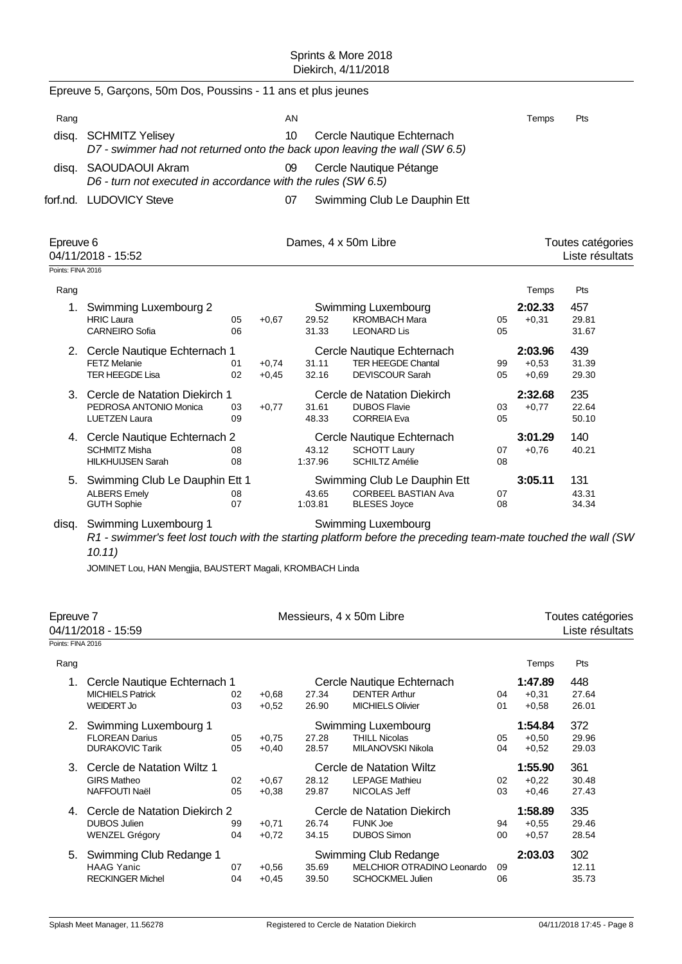|                                | Epreuve 5, Garçons, 50m Dos, Poussins - 11 ans et plus jeunes                                                                                    |          |                    |                      |                                                                                   |          |                               |                                      |
|--------------------------------|--------------------------------------------------------------------------------------------------------------------------------------------------|----------|--------------------|----------------------|-----------------------------------------------------------------------------------|----------|-------------------------------|--------------------------------------|
| Rang                           |                                                                                                                                                  |          |                    | AN                   |                                                                                   |          | Temps                         | Pts                                  |
|                                | disq. SCHMITZ Yelisey<br>D7 - swimmer had not returned onto the back upon leaving the wall (SW 6.5)                                              |          |                    | 10                   | Cercle Nautique Echternach                                                        |          |                               |                                      |
|                                | disq. SAOUDAOUI Akram<br>D6 - turn not executed in accordance with the rules (SW 6.5)                                                            |          |                    | 09                   | Cercle Nautique Pétange                                                           |          |                               |                                      |
|                                | forf.nd. LUDOVICY Steve                                                                                                                          |          |                    | 07                   | Swimming Club Le Dauphin Ett                                                      |          |                               |                                      |
| Epreuve 6                      | 04/11/2018 - 15:52                                                                                                                               |          |                    | Dames, 4 x 50m Libre |                                                                                   |          |                               | Toutes catégories<br>Liste résultats |
| Points: FINA 2016              |                                                                                                                                                  |          |                    |                      |                                                                                   |          |                               |                                      |
| Rang                           |                                                                                                                                                  |          |                    |                      |                                                                                   |          | Temps                         | Pts                                  |
|                                | 1. Swimming Luxembourg 2<br><b>HRIC Laura</b><br><b>CARNEIRO Sofia</b>                                                                           | 05<br>06 | $+0,67$            | 29.52<br>31.33       | Swimming Luxembourg<br><b>KROMBACH Mara</b><br><b>LEONARD Lis</b>                 | 05<br>05 | 2:02.33<br>$+0,31$            | 457<br>29.81<br>31.67                |
|                                | 2. Cercle Nautique Echternach 1<br><b>FETZ Melanie</b><br><b>TER HEEGDE Lisa</b>                                                                 | 01<br>02 | $+0,74$<br>$+0,45$ | 31.11<br>32.16       | Cercle Nautique Echternach<br><b>TER HEEGDE Chantal</b><br><b>DEVISCOUR Sarah</b> | 99<br>05 | 2:03.96<br>$+0,53$<br>$+0,69$ | 439<br>31.39<br>29.30                |
|                                | 3. Cercle de Natation Diekirch 1<br>PEDROSA ANTONIO Monica<br><b>LUETZEN Laura</b>                                                               | 03<br>09 | $+0,77$            | 31.61<br>48.33       | Cercle de Natation Diekirch<br><b>DUBOS Flavie</b><br><b>CORREIA Eva</b>          | 03<br>05 | 2:32.68<br>$+0,77$            | 235<br>22.64<br>50.10                |
|                                | 4. Cercle Nautique Echternach 2<br><b>SCHMITZ Misha</b><br><b>HILKHUIJSEN Sarah</b>                                                              | 08<br>08 |                    | 43.12<br>1:37.96     | Cercle Nautique Echternach<br><b>SCHOTT Laury</b><br><b>SCHILTZ Amélie</b>        | 07<br>08 | 3:01.29<br>$+0,76$            | 140<br>40.21                         |
|                                | 5. Swimming Club Le Dauphin Ett 1<br><b>ALBERS Emely</b><br><b>GUTH Sophie</b>                                                                   | 08<br>07 |                    | 43.65<br>1:03.81     | Swimming Club Le Dauphin Ett<br><b>CORBEEL BASTIAN Ava</b><br><b>BLESES Joyce</b> | 07<br>08 | 3:05.11                       | 131<br>43.31<br>34.34                |
| disq.                          | Swimming Luxembourg 1<br>R1 - swimmer's feet lost touch with the starting platform before the preceding team-mate touched the wall (SW<br>10.11) |          |                    |                      | <b>Swimming Luxembourg</b>                                                        |          |                               |                                      |
|                                | JOMINET Lou, HAN Mengjia, BAUSTERT Magali, KROMBACH Linda                                                                                        |          |                    |                      |                                                                                   |          |                               |                                      |
| Epreuve 7<br>Points: FINA 2016 | 04/11/2018 - 15:59                                                                                                                               |          |                    |                      | Messieurs, 4 x 50m Libre                                                          |          |                               | Toutes catégories<br>Liste résultats |
| Rang                           |                                                                                                                                                  |          |                    |                      |                                                                                   |          | Temps                         | Pts                                  |
|                                | 1. Cercle Nautique Echternach 1<br><b>MICHIELS Patrick</b><br><b>WEIDERT Jo</b>                                                                  | 02<br>03 | $+0,68$<br>$+0,52$ | 27.34<br>26.90       | Cercle Nautique Echternach<br><b>DENTER Arthur</b><br><b>MICHIELS Olivier</b>     | 04<br>01 | 1:47.89<br>$+0,31$<br>$+0,58$ | 448<br>27.64<br>26.01                |
|                                | 2. Swimming Luxembourg 1<br><b>FLOREAN Darius</b><br><b>DURAKOVIC Tarik</b>                                                                      | 05<br>05 | $+0,75$<br>$+0,40$ | 27.28<br>28.57       | Swimming Luxembourg<br><b>THILL Nicolas</b><br>MILANOVSKI Nikola                  | 05<br>04 | 1:54.84<br>$+0,50$<br>$+0,52$ | 372<br>29.96<br>29.03                |
|                                | 3. Cercle de Natation Wiltz 1<br><b>GIRS Matheo</b><br>NAFFOUTI Naël                                                                             | 02<br>05 | $+0,67$<br>$+0,38$ | 28.12<br>29.87       | <b>Cercle de Natation Wiltz</b><br><b>LEPAGE Mathieu</b><br>NICOLAS Jeff          | 02<br>03 | 1:55.90<br>$+0,22$<br>$+0,46$ | 361<br>30.48<br>27.43                |
|                                | 4. Cercle de Natation Diekirch 2<br><b>DUBOS Julien</b><br><b>WENZEL Grégory</b>                                                                 | 99<br>04 | $+0,71$<br>$+0,72$ | 26.74<br>34.15       | Cercle de Natation Diekirch<br><b>FUNK Joe</b><br><b>DUBOS Simon</b>              | 94<br>00 | 1:58.89<br>$+0,55$<br>$+0,57$ | 335<br>29.46<br>28.54                |
| 5.                             | Swimming Club Redange 1<br><b>HAAG Yanic</b><br><b>RECKINGER Michel</b>                                                                          | 07<br>04 | $+0,56$<br>$+0,45$ | 35.69<br>39.50       | Swimming Club Redange<br>MELCHIOR OTRADINO Leonardo<br>SCHOCKMEL Julien           | 09<br>06 | 2:03.03                       | 302<br>12.11<br>35.73                |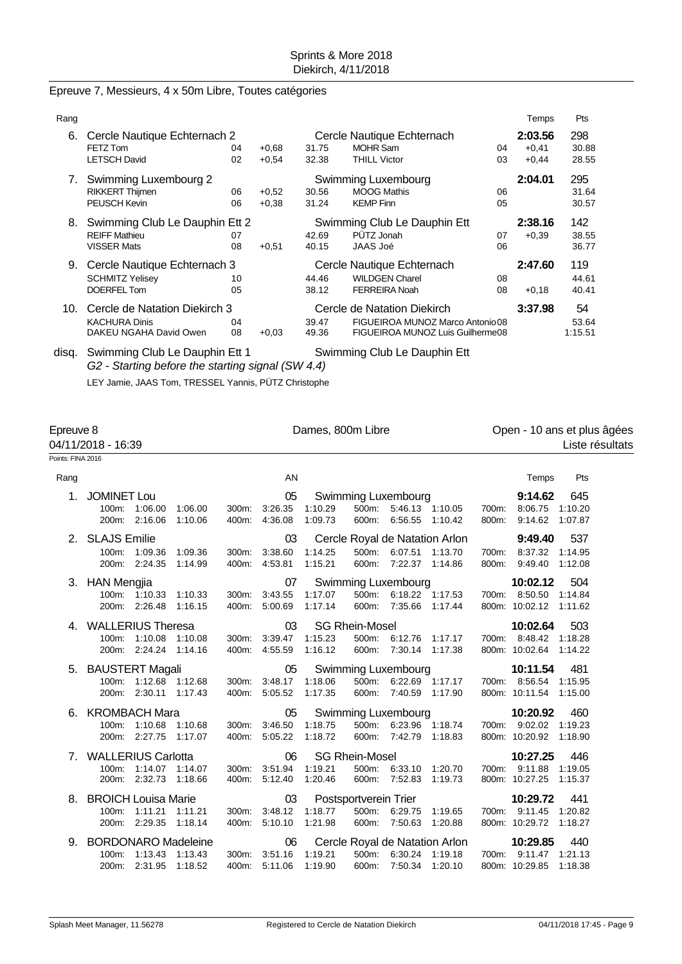# Epreuve 7, Messieurs, 4 x 50m Libre, Toutes catégories

| Rang |                                |                               |         |                            |                                  |         | Temps   | Pts     |
|------|--------------------------------|-------------------------------|---------|----------------------------|----------------------------------|---------|---------|---------|
| 6.   | Cercle Nautique Echternach 2   |                               |         | Cercle Nautique Echternach | 2:03.56                          | 298     |         |         |
|      | FETZ Tom                       | 04                            | $+0.68$ | 31.75                      | <b>MOHR Sam</b>                  | 04      | $+0.41$ | 30.88   |
|      | <b>LETSCH David</b>            | 02                            | $+0.54$ | 32.38                      | <b>THILL Victor</b>              | 03      | $+0,44$ | 28.55   |
| 7.   | Swimming Luxembourg 2          |                               |         |                            | Swimming Luxembourg              |         | 2:04.01 | 295     |
|      | <b>RIKKERT Thijmen</b>         | 06                            | $+0.52$ | 30.56                      | <b>MOOG Mathis</b>               | 06      |         | 31.64   |
|      | PEUSCH Kevin                   | 06                            | $+0.38$ | 31.24                      | <b>KEMP Finn</b>                 | 05      |         | 30.57   |
| 8.   | Swimming Club Le Dauphin Ett 2 |                               |         |                            | Swimming Club Le Dauphin Ett     |         | 2:38.16 | 142     |
|      | <b>REIFF Mathieu</b>           | 07                            |         | 42.69                      | PÜTZ Jonah                       | 07      | $+0.39$ | 38.55   |
|      | <b>VISSER Mats</b>             | 08                            | $+0.51$ | 40.15                      | JAAS Joé                         | 06      |         | 36.77   |
| 9.   | Cercle Nautique Echternach 3   |                               |         |                            | Cercle Nautique Echternach       |         | 2:47.60 | 119     |
|      | <b>SCHMITZ Yelisey</b>         | 10                            |         | 44.46                      | <b>WILDGEN Charel</b>            | 08      |         | 44.61   |
|      | DOERFEL Tom                    | 05                            |         | 38.12                      | <b>FERREIRA Noah</b>             | 08      | $+0,18$ | 40.41   |
| 10.  |                                | Cercle de Natation Diekirch 3 |         |                            | Cercle de Natation Diekirch      | 3:37.98 | 54      |         |
|      | <b>KACHURA Dinis</b>           | 04                            |         | 39.47                      | FIGUEIROA MUNOZ Marco Antonio 08 |         |         | 53.64   |
|      | DAKEU NGAHA David Owen         | 08                            | $+0.03$ | 49.36                      | FIGUEIROA MUNOZ Luis Guilherme08 |         |         | 1:15.51 |
|      |                                |                               |         |                            |                                  |         |         |         |

disq. Swimming Club Le Dauphin Ett 1 Swimming Club Le Dauphin Ett *G2 - Starting before the starting signal (SW 4.4)* LEY Jamie, JAAS Tom, TRESSEL Yannis, PÜTZ Christophe

Points: FINA 2016

Epreuve 8 **Dames, 800m Libre Company 10** ans et plus âgées 04/11/2018 - 16:39 Liste résultats

| Rang                           |                                                   |                    |                    |                | AN                             |                                             |                |                                                            |                    |                | Temps                                       | Pts                       |
|--------------------------------|---------------------------------------------------|--------------------|--------------------|----------------|--------------------------------|---------------------------------------------|----------------|------------------------------------------------------------|--------------------|----------------|---------------------------------------------|---------------------------|
| 1.                             | <b>JOMINET Lou</b><br>100m:<br>200m:              | 1:06.00<br>2:16.06 | 1:06.00<br>1:10.06 | 400m:          | 05<br>300m: 3:26.35<br>4:36.08 | 1:10.29<br>1:09.73                          | 500m:<br>600m: | Swimming Luxembourg<br>5:46.13 1:10.05<br>6:56.55          | 1:10.42            | 700m:<br>800m: | 9:14.62<br>8:06.75<br>9:14.62               | 645<br>1:10.20<br>1:07.87 |
|                                | 2. SLAJS Emilie<br>100m: 1:09.36<br>200m: 2:24.35 |                    | 1:09.36<br>1:14.99 | 300m:<br>400m: | 03<br>3:38.60<br>4:53.81       | 1:14.25<br>1:15.21                          | 600m:          | Cercle Royal de Natation Arlon<br>500m: 6:07.51<br>7:22.37 | 1:13.70<br>1:14.86 | 700m:<br>800m: | 9:49.40<br>8:37.32<br>9:49.40               | 537<br>1:14.95<br>1:12.08 |
|                                | 3. HAN Mengjia<br>100m: 1:10.33<br>200m:          | 2:26.48            | 1:10.33<br>1:16.15 | 300m:<br>400m: | 07<br>3:43.55<br>5:00.69       | 1:17.07<br>1:17.14                          | 500m:<br>600m: | Swimming Luxembourg<br>6:18.22 1:17.53<br>7:35.66          | 1:17.44            | 700m:          | 10:02.12<br>8:50.50<br>800m: 10:02.12       | 504<br>1:14.84<br>1:11.62 |
|                                | 4. WALLERIUS Theresa<br>100m:<br>200m:            | 1:10.08<br>2:24.24 | 1:10.08<br>1:14.16 | 300m:<br>400m: | 03<br>3:39.47<br>4:55.59       | <b>SG Rhein-Mosel</b><br>1:15.23<br>1:16.12 | 500m:<br>600m: | 6:12.76<br>7:30.14                                         | 1:17.17<br>1:17.38 |                | 10:02.64<br>700m: 8:48.42<br>800m: 10:02.64 | 503<br>1:18.28<br>1:14.22 |
|                                | 5. BAUSTERT Magali<br>100m: 1:12.68<br>200m:      | 2:30.11            | 1:12.68<br>1:17.43 | 400m:          | 05<br>300m: 3:48.17<br>5:05.52 | 1:18.06<br>1:17.35                          | 500m:<br>600m: | <b>Swimming Luxembourg</b><br>6:22.69 1:17.17<br>7:40.59   | 1:17.90            |                | 10:11.54<br>700m: 8:56.54<br>800m: 10:11.54 | 481<br>1:15.95<br>1:15.00 |
| 6.                             | <b>KROMBACH Mara</b><br>100m:<br>200m:            | 1:10.68<br>2:27.75 | 1:10.68<br>1:17.07 | 400m:          | 05<br>300m: 3:46.50<br>5:05.22 | 1:18.75<br>1:18.72                          | 500m:<br>600m: | Swimming Luxembourg<br>6:23.96 1:18.74<br>7:42.79          | 1:18.83            |                | 10:20.92<br>700m: 9:02.02<br>800m: 10:20.92 | 460<br>1:19.23<br>1:18.90 |
| $7_{\scriptscriptstyle{\sim}}$ | <b>WALLERIUS Carlotta</b><br>100m:<br>200m:       | 1:14.07<br>2:32.73 | 1:14.07<br>1:18.66 | 300m:<br>400m: | 06<br>3:51.94<br>5:12.40       | <b>SG Rhein-Mosel</b><br>1:19.21<br>1:20.46 | 500m:          | 6:33.10<br>600m: 7:52.83                                   | 1:20.70<br>1:19.73 |                | 10:27.25<br>700m: 9:11.88<br>800m: 10:27.25 | 446<br>1:19.05<br>1:15.37 |
| 8.                             | <b>BROICH Louisa Marie</b><br>100m:<br>200m:      | 1:11.21<br>2:29.35 | 1:11.21<br>1:18.14 | 300m:<br>400m: | 03<br>3:48.12<br>5:10.10       | Postsportverein Trier<br>1:18.77<br>1:21.98 | 500m:<br>600m: | 6:29.75<br>7:50.63                                         | 1:19.65<br>1:20.88 | 700m:          | 10:29.72<br>9:11.45<br>800m: 10:29.72       | 441<br>1:20.82<br>1:18.27 |
| 9.                             | <b>BORDONARO Madeleine</b><br>100m:<br>200m:      | 1:13.43<br>2:31.95 | 1:13.43<br>1:18.52 | 300m:<br>400m: | 06<br>3:51.16<br>5:11.06       | 1:19.21<br>1:19.90                          | 500m:<br>600m: | Cercle Royal de Natation Arlon<br>6:30.24<br>7:50.34       | 1:19.18<br>1:20.10 | 700m:          | 10:29.85<br>9:11.47<br>800m: 10:29.85       | 440<br>1:21.13<br>1:18.38 |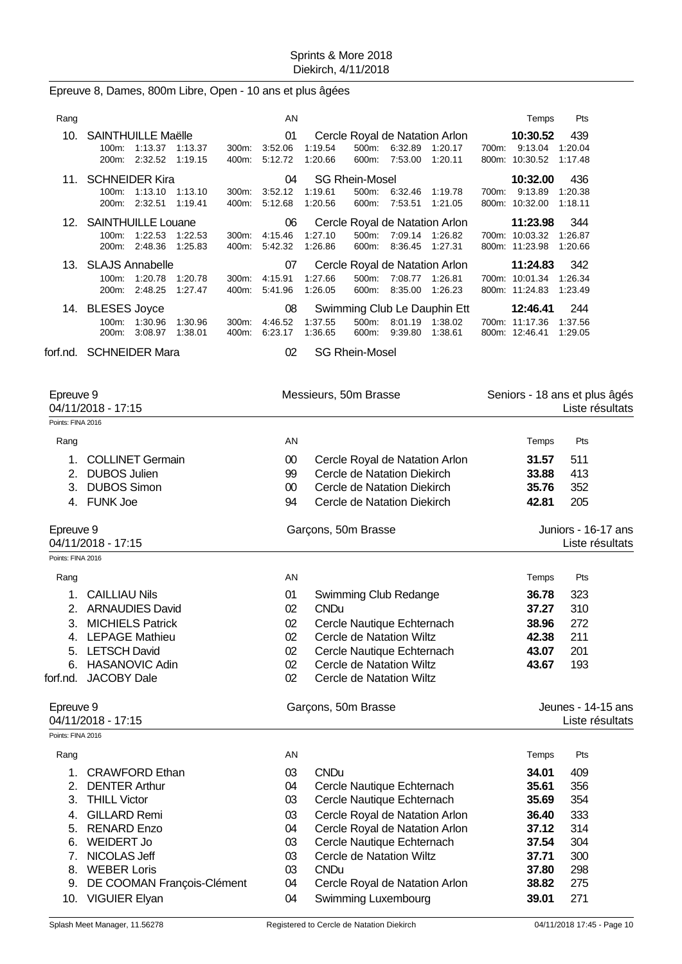# Epreuve 8, Dames, 800m Libre, Open - 10 ans et plus âgées

| Rang |                                       |         |         |          | AN            |         |                       |         |                                           |       | Temps               | Pts            |
|------|---------------------------------------|---------|---------|----------|---------------|---------|-----------------------|---------|-------------------------------------------|-------|---------------------|----------------|
| 10.  | <b>SAINTHUILLE Maëlle</b><br>$100m$ : | 1:13.37 | 1:13.37 | 300m:    | 01<br>3:52.06 | 1:19.54 | 500m:                 | 6:32.89 | Cercle Royal de Natation Arlon<br>1.20.17 | 700m: | 10:30.52<br>9:13.04 | 439<br>1:20.04 |
|      | 200 <sub>m</sub> :                    | 2:32.52 | 1:19.15 | 400m:    | 5:12.72       | 1:20.66 | 600m:                 | 7:53.00 | 1:20.11                                   |       | 800m: 10:30.52      | 1:17.48        |
| 11.  | <b>SCHNEIDER Kira</b>                 |         |         |          | 04            |         | <b>SG Rhein-Mosel</b> |         |                                           |       | 10:32.00            | 436            |
|      | $100m$ :                              | 1:13.10 | 1:13.10 | 300m:    | 3:52.12       | 1:19.61 | 500m:                 | 6:32.46 | 1:19.78                                   | 700m: | 9:13.89             | 1:20.38        |
|      | 200m:                                 | 2:32.51 | 1:19.41 | 400m:    | 5:12.68       | 1:20.56 | 600m:                 | 7:53.51 | 1:21.05                                   |       | 800m: 10:32.00      | 1:18.11        |
|      | 12. SAINTHUILLE Louane                |         |         |          | 06            |         |                       |         | Cercle Royal de Natation Arlon            |       | 11:23.98            | 344            |
|      | $100m$ :                              | 1:22.53 | 1:22.53 | $300m$ : | 4:15.46       | 1:27.10 | 500m:                 | 7:09.14 | 1:26.82                                   | 700m: | 10:03.32            | 1:26.87        |
|      | 200m:                                 | 2:48.36 | 1:25.83 | 400m:    | 5:42.32       | 1:26.86 | 600m:                 | 8:36.45 | 1:27.31                                   |       | 800m: 11:23.98      | 1:20.66        |
|      | 13. SLAJS Annabelle                   |         |         |          | 07            |         |                       |         | Cercle Royal de Natation Arlon            |       | 11:24.83            | 342            |
|      | 100m:                                 | 1:20.78 | 1:20.78 | $300m$ : | 4:15.91       | 1:27.66 | 500m:                 | 7:08.77 | 1:26.81                                   | 700m: | 10:01.34            | 1:26.34        |
|      | $200m$ :                              | 2:48.25 | 1:27.47 | 400m:    | 5.41.96       | 1:26.05 | 600m:                 | 8:35.00 | 1:26.23                                   |       | 800m: 11:24.83      | 1:23.49        |
|      | 14. BLESES Joyce                      |         |         |          | 08            |         |                       |         | Swimming Club Le Dauphin Ett              |       | 12:46.41            | 244            |
|      | $100m$ :                              | 1:30.96 | 1:30.96 | $300m$ : | 4:46.52       | 1:37.55 | $500m$ :              | 8:01.19 | 1:38.02                                   |       | 700m: 11:17.36      | 1:37.56        |
|      | $200m$ :                              | 3:08.97 | 1:38.01 | 400m:    | 6:23.17       | 1:36.65 | 600m:                 | 9:39.80 | 1:38.61                                   |       | 800m: 12:46.41      | 1:29.05        |

forf.nd. SCHNEIDER Mara 02 SG Rhein-Mosel

| Epreuve 9<br>04/11/2018 - 17:15 |                               |                     | Messieurs, 50m Brasse           | Seniors - 18 ans et plus âgés<br>Liste résultats |                                        |  |  |
|---------------------------------|-------------------------------|---------------------|---------------------------------|--------------------------------------------------|----------------------------------------|--|--|
| Points: FINA 2016               |                               |                     |                                 |                                                  |                                        |  |  |
| Rang                            |                               | AN                  |                                 | Temps                                            | Pts                                    |  |  |
| 1.                              | <b>COLLINET Germain</b>       | $00\,$              | Cercle Royal de Natation Arlon  | 31.57                                            | 511                                    |  |  |
|                                 | 2. DUBOS Julien               | 99                  | Cercle de Natation Diekirch     | 33.88                                            | 413                                    |  |  |
|                                 | 3. DUBOS Simon                | $00\,$              | Cercle de Natation Diekirch     | 35.76                                            | 352                                    |  |  |
|                                 | 4. FUNK Joe                   | 94                  | Cercle de Natation Diekirch     | 42.81                                            | 205                                    |  |  |
| Epreuve 9<br>04/11/2018 - 17:15 |                               |                     | Garçons, 50m Brasse             |                                                  | Juniors - 16-17 ans<br>Liste résultats |  |  |
| Points: FINA 2016               |                               |                     |                                 |                                                  |                                        |  |  |
| Rang                            |                               | AN                  |                                 | Temps                                            | Pts                                    |  |  |
| 1.                              | <b>CAILLIAU Nils</b>          | 01                  | Swimming Club Redange           | 36.78                                            | 323                                    |  |  |
|                                 | 2. ARNAUDIES David            | 02                  | <b>CNDu</b>                     | 37.27                                            | 310                                    |  |  |
| 3.                              | <b>MICHIELS Patrick</b>       | 02                  | Cercle Nautique Echternach      | 38.96                                            | 272                                    |  |  |
|                                 | 4. LEPAGE Mathieu             | 02                  | <b>Cercle de Natation Wiltz</b> | 42.38                                            | 211                                    |  |  |
|                                 | 5. LETSCH David               | 02                  | Cercle Nautique Echternach      | 43.07                                            | 201                                    |  |  |
| 6.                              | <b>HASANOVIC Adin</b>         | 02                  | <b>Cercle de Natation Wiltz</b> | 43.67                                            | 193                                    |  |  |
| forf.nd.                        | <b>JACOBY Dale</b>            | 02                  | Cercle de Natation Wiltz        |                                                  |                                        |  |  |
| Epreuve 9<br>04/11/2018 - 17:15 |                               | Garçons, 50m Brasse |                                 | Jeunes - 14-15 ans<br>Liste résultats            |                                        |  |  |
| Points: FINA 2016               |                               |                     |                                 |                                                  |                                        |  |  |
| Rang                            |                               | AN                  |                                 | Temps                                            | Pts                                    |  |  |
| 1.                              | <b>CRAWFORD Ethan</b>         | 03                  | <b>CNDu</b>                     | 34.01                                            | 409                                    |  |  |
|                                 | 2. DENTER Arthur              | 04                  | Cercle Nautique Echternach      | 35.61                                            | 356                                    |  |  |
| 3.                              | <b>THILL Victor</b>           | 03                  | Cercle Nautique Echternach      | 35.69                                            | 354                                    |  |  |
| 4.                              | <b>GILLARD Remi</b>           | 03                  | Cercle Royal de Natation Arlon  | 36.40                                            | 333                                    |  |  |
|                                 | 5. RENARD Enzo                | 04                  | Cercle Royal de Natation Arlon  | 37.12                                            | 314                                    |  |  |
|                                 | 6. WEIDERT Jo                 | 03                  | Cercle Nautique Echternach      | 37.54                                            | 304                                    |  |  |
| 7.                              | NICOLAS Jeff                  | 03                  | <b>Cercle de Natation Wiltz</b> | 37.71                                            | 300                                    |  |  |
|                                 | 8. WEBER Loris                | 03                  | <b>CNDu</b>                     | 37.80                                            | 298                                    |  |  |
|                                 | 9. DE COOMAN François-Clément | 04                  | Cercle Royal de Natation Arlon  | 38.82                                            | 275                                    |  |  |
|                                 | 10. VIGUIER Elyan             | 04                  | Swimming Luxembourg             | 39.01                                            | 271                                    |  |  |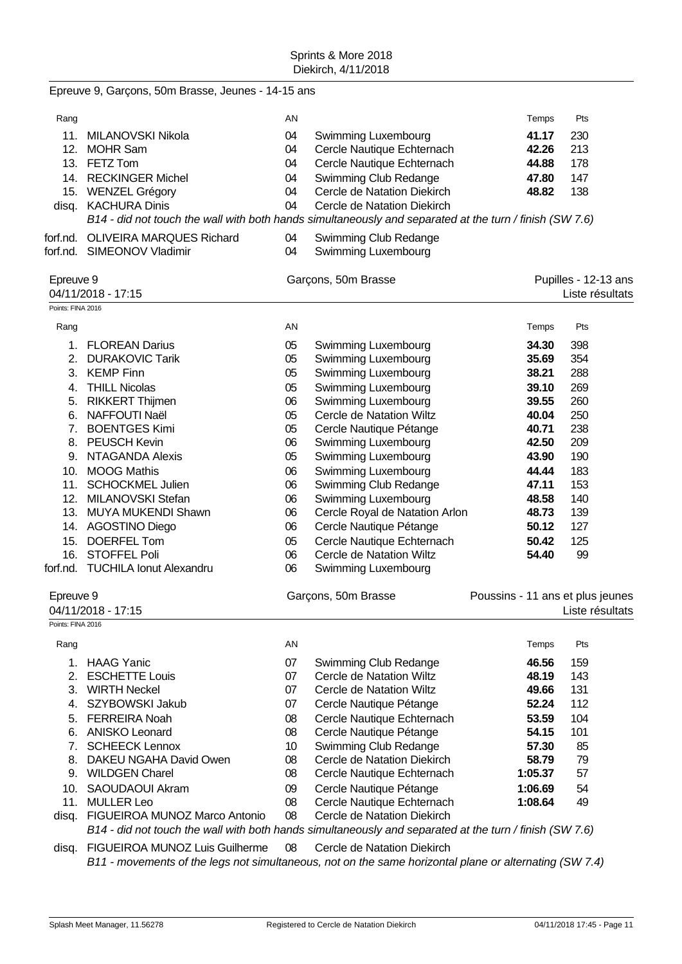|                   | Epreuve 9, Garçons, 50m Brasse, Jeunes - 14-15 ans                                                      |    |                                 |                                  |                      |
|-------------------|---------------------------------------------------------------------------------------------------------|----|---------------------------------|----------------------------------|----------------------|
| Rang              |                                                                                                         | AN |                                 | Temps                            | Pts                  |
| 11.               | MILANOVSKI Nikola                                                                                       | 04 | Swimming Luxembourg             | 41.17                            | 230                  |
| 12.               | <b>MOHR Sam</b>                                                                                         | 04 | Cercle Nautique Echternach      | 42.26                            | 213                  |
|                   | 13. FETZ Tom                                                                                            | 04 | Cercle Nautique Echternach      | 44.88                            | 178                  |
|                   | 14. RECKINGER Michel                                                                                    | 04 | Swimming Club Redange           | 47.80                            | 147                  |
|                   | 15. WENZEL Grégory                                                                                      | 04 | Cercle de Natation Diekirch     | 48.82                            | 138                  |
|                   | disq. KACHURA Dinis                                                                                     | 04 | Cercle de Natation Diekirch     |                                  |                      |
|                   | B14 - did not touch the wall with both hands simultaneously and separated at the turn / finish (SW 7.6) |    |                                 |                                  |                      |
|                   | forf.nd. OLIVEIRA MARQUES Richard                                                                       | 04 | Swimming Club Redange           |                                  |                      |
|                   | forf.nd. SIMEONOV Vladimir                                                                              | 04 | Swimming Luxembourg             |                                  |                      |
|                   |                                                                                                         |    |                                 |                                  |                      |
| Epreuve 9         |                                                                                                         |    | Garçons, 50m Brasse             |                                  | Pupilles - 12-13 ans |
|                   | 04/11/2018 - 17:15                                                                                      |    |                                 |                                  | Liste résultats      |
| Points: FINA 2016 |                                                                                                         |    |                                 |                                  |                      |
| Rang              |                                                                                                         | AN |                                 | Temps                            | Pts                  |
|                   | 1. FLOREAN Darius                                                                                       | 05 | Swimming Luxembourg             | 34.30                            | 398                  |
|                   | 2. DURAKOVIC Tarik                                                                                      | 05 | Swimming Luxembourg             | 35.69                            | 354                  |
|                   | 3. KEMP Finn                                                                                            | 05 | Swimming Luxembourg             | 38.21                            | 288                  |
|                   | 4. THILL Nicolas                                                                                        | 05 | Swimming Luxembourg             | 39.10                            | 269                  |
|                   | 5. RIKKERT Thijmen                                                                                      | 06 | Swimming Luxembourg             | 39.55                            | 260                  |
|                   | 6. NAFFOUTI Naël                                                                                        | 05 | Cercle de Natation Wiltz        | 40.04                            | 250                  |
|                   | 7. BOENTGES Kimi                                                                                        | 05 | Cercle Nautique Pétange         | 40.71                            | 238                  |
|                   | 8. PEUSCH Kevin                                                                                         | 06 | Swimming Luxembourg             | 42.50                            | 209                  |
|                   | 9. NTAGANDA Alexis                                                                                      | 05 | Swimming Luxembourg             | 43.90                            | 190                  |
| 10.               | <b>MOOG Mathis</b>                                                                                      | 06 | Swimming Luxembourg             | 44.44                            | 183                  |
| 11.               | <b>SCHOCKMEL Julien</b>                                                                                 | 06 | Swimming Club Redange           | 47.11                            | 153                  |
|                   | 12. MILANOVSKI Stefan                                                                                   | 06 | Swimming Luxembourg             | 48.58                            | 140                  |
|                   | 13. MUYA MUKENDI Shawn                                                                                  | 06 | Cercle Royal de Natation Arlon  | 48.73                            | 139                  |
|                   | 14. AGOSTINO Diego                                                                                      | 06 | Cercle Nautique Pétange         | 50.12                            | 127                  |
| 15.               | <b>DOERFEL Tom</b>                                                                                      | 05 | Cercle Nautique Echternach      | 50.42                            | 125                  |
| 16.               | <b>STOFFEL Poli</b>                                                                                     | 06 | <b>Cercle de Natation Wiltz</b> | 54.40                            | 99                   |
|                   | forf.nd. TUCHILA lonut Alexandru                                                                        | 06 | Swimming Luxembourg             |                                  |                      |
| Epreuve 9         |                                                                                                         |    | Garçons, 50m Brasse             | Poussins - 11 ans et plus jeunes |                      |
|                   | 04/11/2018 - 17:15                                                                                      |    |                                 |                                  | Liste résultats      |
| Points: FINA 2016 |                                                                                                         |    |                                 |                                  |                      |
| Rang              |                                                                                                         | AN |                                 | Temps                            | Pts                  |
| 1.                | <b>HAAG Yanic</b>                                                                                       | 07 | Swimming Club Redange           | 46.56                            | 159                  |
| 2.                | <b>ESCHETTE Louis</b>                                                                                   | 07 | <b>Cercle de Natation Wiltz</b> | 48.19                            | 143                  |
|                   | 3. WIRTH Neckel                                                                                         | 07 | <b>Cercle de Natation Wiltz</b> | 49.66                            | 131                  |
| 4.                | SZYBOWSKI Jakub                                                                                         | 07 | Cercle Nautique Pétange         | 52.24                            | 112                  |
| 5.                | <b>FERREIRA Noah</b>                                                                                    | 08 | Cercle Nautique Echternach      | 53.59                            | 104                  |
|                   | 6. ANISKO Leonard                                                                                       | 08 | Cercle Nautique Pétange         | 54.15                            | 101                  |
| 7.                | <b>SCHEECK Lennox</b>                                                                                   | 10 | Swimming Club Redange           | 57.30                            | 85                   |
| 8.                | DAKEU NGAHA David Owen                                                                                  | 08 | Cercle de Natation Diekirch     | 58.79                            | 79                   |
|                   | 9. WILDGEN Charel                                                                                       | 08 | Cercle Nautique Echternach      | 1:05.37                          | 57                   |
| 10.               | SAOUDAOUI Akram                                                                                         | 09 | Cercle Nautique Pétange         | 1:06.69                          | 54                   |
| 11.               | <b>MULLER Leo</b>                                                                                       | 08 | Cercle Nautique Echternach      | 1:08.64                          | 49                   |
| disq.             | FIGUEIROA MUNOZ Marco Antonio                                                                           | 08 | Cercle de Natation Diekirch     |                                  |                      |
|                   | B14 - did not touch the wall with both hands simultaneously and separated at the turn / finish (SW 7.6) |    |                                 |                                  |                      |
| disq.             | FIGUEIROA MUNOZ Luis Guilherme                                                                          | 08 | Cercle de Natation Diekirch     |                                  |                      |
|                   | B11 - movements of the legs not simultaneous, not on the same horizontal plane or alternating (SW 7.4)  |    |                                 |                                  |                      |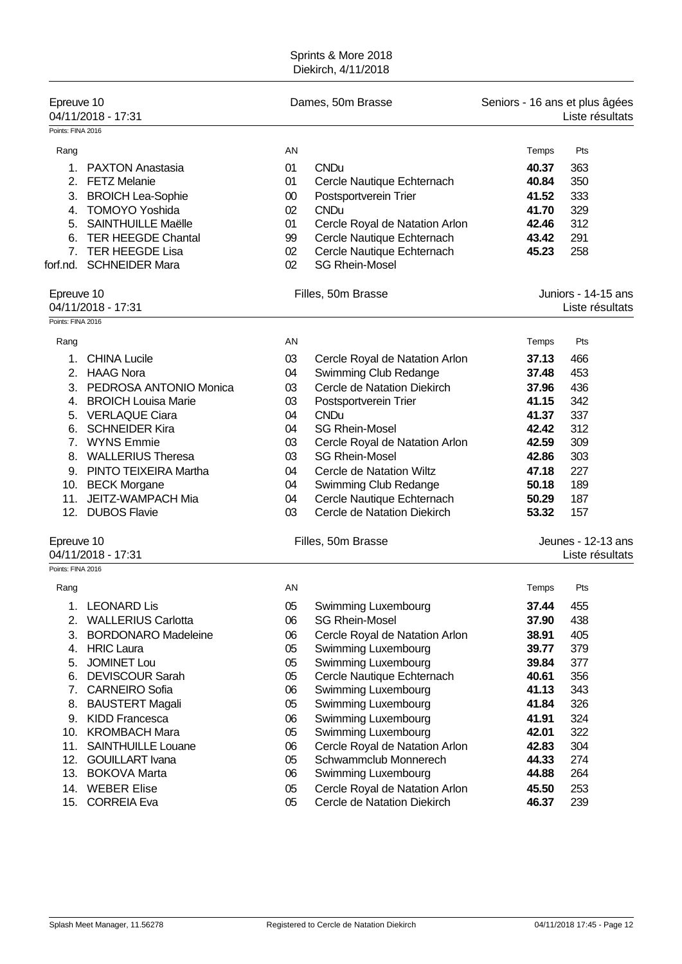| Epreuve 10<br>04/11/2018 - 17:31<br>Points: FINA 2016 |                                                                                                                                                                                                          |                                                        | Dames, 50m Brasse                                                                                                                                                                                        | Seniors - 16 ans et plus âgées<br>Liste résultats                    |                                                      |  |
|-------------------------------------------------------|----------------------------------------------------------------------------------------------------------------------------------------------------------------------------------------------------------|--------------------------------------------------------|----------------------------------------------------------------------------------------------------------------------------------------------------------------------------------------------------------|----------------------------------------------------------------------|------------------------------------------------------|--|
| Rang<br>1.<br>2.<br>4.<br>5.<br>6.<br>forf.nd.        | <b>PAXTON Anastasia</b><br><b>FETZ Melanie</b><br>3. BROICH Lea-Sophie<br><b>TOMOYO Yoshida</b><br><b>SAINTHUILLE Maëlle</b><br><b>TER HEEGDE Chantal</b><br>7. TER HEEGDE Lisa<br><b>SCHNEIDER Mara</b> | AN<br>01<br>01<br>$00\,$<br>02<br>01<br>99<br>02<br>02 | <b>CNDu</b><br>Cercle Nautique Echternach<br>Postsportverein Trier<br><b>CNDu</b><br>Cercle Royal de Natation Arlon<br>Cercle Nautique Echternach<br>Cercle Nautique Echternach<br><b>SG Rhein-Mosel</b> | Temps<br>40.37<br>40.84<br>41.52<br>41.70<br>42.46<br>43.42<br>45.23 | Pts<br>363<br>350<br>333<br>329<br>312<br>291<br>258 |  |
| Epreuve 10                                            | 04/11/2018 - 17:31                                                                                                                                                                                       |                                                        | Filles, 50m Brasse                                                                                                                                                                                       |                                                                      | Juniors - 14-15 ans<br>Liste résultats               |  |
| Points: FINA 2016                                     |                                                                                                                                                                                                          |                                                        |                                                                                                                                                                                                          |                                                                      |                                                      |  |
| Rang                                                  |                                                                                                                                                                                                          | AN                                                     |                                                                                                                                                                                                          | Temps                                                                | Pts                                                  |  |
| 1 <sub>1</sub>                                        | <b>CHINA Lucile</b>                                                                                                                                                                                      | 03                                                     | Cercle Royal de Natation Arlon                                                                                                                                                                           | 37.13                                                                | 466                                                  |  |
|                                                       | 2. HAAG Nora                                                                                                                                                                                             | 04                                                     | Swimming Club Redange                                                                                                                                                                                    | 37.48                                                                | 453                                                  |  |
|                                                       | 3. PEDROSA ANTONIO Monica                                                                                                                                                                                | 03                                                     | Cercle de Natation Diekirch                                                                                                                                                                              | 37.96<br>41.15                                                       | 436<br>342                                           |  |
|                                                       | 4. BROICH Louisa Marie<br>5. VERLAQUE Ciara                                                                                                                                                              | 03<br>04                                               | Postsportverein Trier<br><b>CNDu</b>                                                                                                                                                                     | 41.37                                                                | 337                                                  |  |
|                                                       | 6. SCHNEIDER Kira                                                                                                                                                                                        | 04                                                     | <b>SG Rhein-Mosel</b>                                                                                                                                                                                    | 42.42                                                                | 312                                                  |  |
|                                                       | 7. WYNS Emmie                                                                                                                                                                                            | 03                                                     | Cercle Royal de Natation Arlon                                                                                                                                                                           | 42.59                                                                | 309                                                  |  |
| 8.                                                    | <b>WALLERIUS Theresa</b>                                                                                                                                                                                 | 03                                                     | <b>SG Rhein-Mosel</b>                                                                                                                                                                                    | 42.86                                                                | 303                                                  |  |
|                                                       | 9. PINTO TEIXEIRA Martha                                                                                                                                                                                 | 04                                                     | Cercle de Natation Wiltz                                                                                                                                                                                 | 47.18                                                                | 227                                                  |  |
|                                                       | 10. BECK Morgane                                                                                                                                                                                         | 04                                                     | Swimming Club Redange                                                                                                                                                                                    | 50.18                                                                | 189                                                  |  |
| 11.                                                   | JEITZ-WAMPACH Mia                                                                                                                                                                                        | 04                                                     | Cercle Nautique Echternach                                                                                                                                                                               | 50.29                                                                | 187                                                  |  |
| 12.                                                   | <b>DUBOS Flavie</b>                                                                                                                                                                                      | 03                                                     | Cercle de Natation Diekirch                                                                                                                                                                              | 53.32                                                                | 157                                                  |  |
| Epreuve 10<br>Points: FINA 2016                       | 04/11/2018 - 17:31                                                                                                                                                                                       |                                                        | Filles, 50m Brasse                                                                                                                                                                                       |                                                                      | Jeunes - 12-13 ans<br>Liste résultats                |  |
| Rang                                                  |                                                                                                                                                                                                          | AN                                                     |                                                                                                                                                                                                          | Temps                                                                | Pts                                                  |  |
|                                                       |                                                                                                                                                                                                          |                                                        |                                                                                                                                                                                                          |                                                                      |                                                      |  |
|                                                       | 1. LEONARD Lis<br>2. WALLERIUS Carlotta                                                                                                                                                                  | 05<br>06                                               | Swimming Luxembourg<br><b>SG Rhein-Mosel</b>                                                                                                                                                             | 37.44<br>37.90                                                       | 455<br>438                                           |  |
| 3.                                                    | <b>BORDONARO Madeleine</b>                                                                                                                                                                               | 06                                                     | Cercle Royal de Natation Arlon                                                                                                                                                                           | 38.91                                                                | 405                                                  |  |
|                                                       | 4. HRIC Laura                                                                                                                                                                                            | 05                                                     | Swimming Luxembourg                                                                                                                                                                                      | 39.77                                                                | 379                                                  |  |
| 5.                                                    | <b>JOMINET Lou</b>                                                                                                                                                                                       | 05                                                     | <b>Swimming Luxembourg</b>                                                                                                                                                                               | 39.84                                                                | 377                                                  |  |
| 6.                                                    | <b>DEVISCOUR Sarah</b>                                                                                                                                                                                   | 05                                                     | Cercle Nautique Echternach                                                                                                                                                                               | 40.61                                                                | 356                                                  |  |
|                                                       | 7. CARNEIRO Sofia                                                                                                                                                                                        | 06                                                     | Swimming Luxembourg                                                                                                                                                                                      | 41.13                                                                | 343                                                  |  |
|                                                       | 8. BAUSTERT Magali                                                                                                                                                                                       | 05                                                     | Swimming Luxembourg                                                                                                                                                                                      | 41.84                                                                | 326                                                  |  |
|                                                       | 9. KIDD Francesca                                                                                                                                                                                        | 06                                                     | Swimming Luxembourg                                                                                                                                                                                      | 41.91                                                                | 324                                                  |  |
|                                                       | 10. KROMBACH Mara                                                                                                                                                                                        | 05                                                     | Swimming Luxembourg                                                                                                                                                                                      | 42.01                                                                | 322                                                  |  |
| 11.                                                   | <b>SAINTHUILLE Louane</b>                                                                                                                                                                                | 06                                                     | Cercle Royal de Natation Arlon                                                                                                                                                                           | 42.83                                                                | 304                                                  |  |
|                                                       | 12. GOUILLART Ivana                                                                                                                                                                                      | 05                                                     | Schwammclub Monnerech                                                                                                                                                                                    | 44.33                                                                | 274                                                  |  |
|                                                       | 13. BOKOVA Marta                                                                                                                                                                                         | 06                                                     | Swimming Luxembourg                                                                                                                                                                                      | 44.88                                                                | 264                                                  |  |
| 14.                                                   | <b>WEBER Elise</b>                                                                                                                                                                                       | 05                                                     | Cercle Royal de Natation Arlon                                                                                                                                                                           | 45.50                                                                | 253                                                  |  |
| 15.                                                   | <b>CORREIA Eva</b>                                                                                                                                                                                       | 05                                                     | Cercle de Natation Diekirch                                                                                                                                                                              | 46.37                                                                | 239                                                  |  |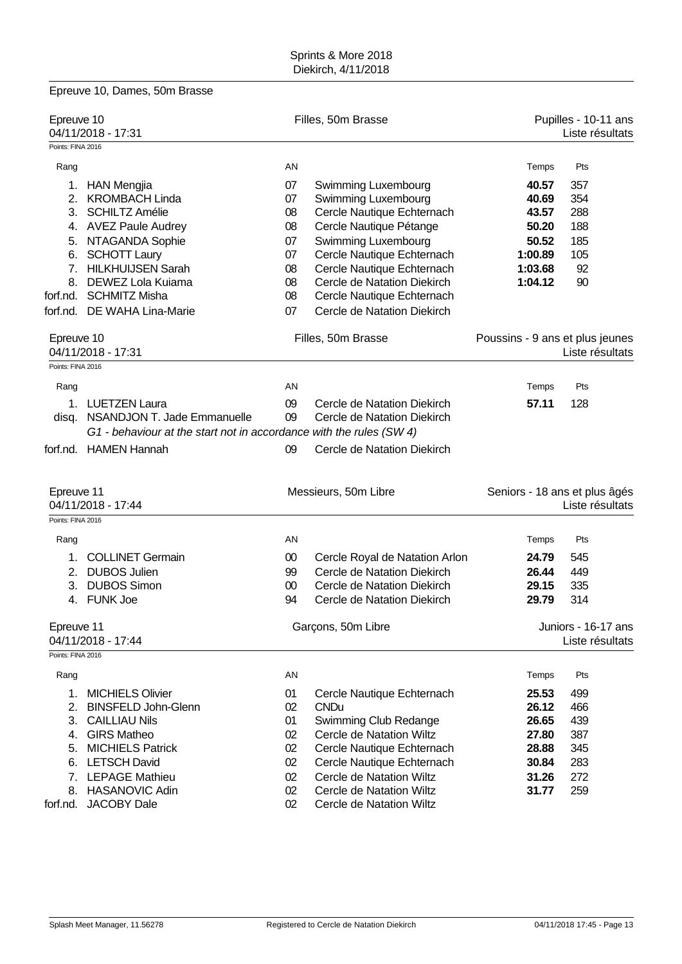|                                 | Epreuve 10, Dames, 50m Brasse                                       |                 |                                                            |                                                    |                                         |  |
|---------------------------------|---------------------------------------------------------------------|-----------------|------------------------------------------------------------|----------------------------------------------------|-----------------------------------------|--|
| Epreuve 10                      | 04/11/2018 - 17:31                                                  |                 | Filles, 50m Brasse                                         |                                                    | Pupilles - 10-11 ans<br>Liste résultats |  |
| Points: FINA 2016               |                                                                     |                 |                                                            |                                                    |                                         |  |
| Rang                            |                                                                     | AN              |                                                            | Temps                                              | Pts                                     |  |
|                                 | 1. HAN Mengjia                                                      | 07              | Swimming Luxembourg                                        | 40.57                                              | 357                                     |  |
|                                 | 2. KROMBACH Linda                                                   | 07              | Swimming Luxembourg                                        | 40.69                                              | 354                                     |  |
|                                 | 3. SCHILTZ Amélie                                                   | 08              | Cercle Nautique Echternach                                 | 43.57                                              | 288                                     |  |
|                                 | 4. AVEZ Paule Audrey                                                | 08              | Cercle Nautique Pétange                                    | 50.20                                              | 188                                     |  |
|                                 | 5. NTAGANDA Sophie                                                  | 07              | Swimming Luxembourg                                        | 50.52                                              | 185                                     |  |
|                                 | 6. SCHOTT Laury                                                     | 07              | Cercle Nautique Echternach                                 | 1:00.89                                            | 105                                     |  |
|                                 | 7. HILKHUIJSEN Sarah                                                | 08              | Cercle Nautique Echternach                                 | 1:03.68                                            | 92                                      |  |
|                                 | 8. DEWEZ Lola Kuiama                                                | 08              | Cercle de Natation Diekirch                                | 1:04.12                                            | 90                                      |  |
|                                 | forf.nd. SCHMITZ Misha                                              | 08              | Cercle Nautique Echternach                                 |                                                    |                                         |  |
|                                 | forf.nd. DE WAHA Lina-Marie                                         | 07              | Cercle de Natation Diekirch                                |                                                    |                                         |  |
| Epreuve 10                      | 04/11/2018 - 17:31                                                  |                 | Filles, 50m Brasse                                         | Poussins - 9 ans et plus jeunes<br>Liste résultats |                                         |  |
| Points: FINA 2016               |                                                                     |                 |                                                            |                                                    |                                         |  |
|                                 |                                                                     | AN              |                                                            |                                                    | Pts                                     |  |
| Rang                            |                                                                     |                 |                                                            | Temps                                              |                                         |  |
|                                 | 1. LUETZEN Laura<br>disq. NSANDJON T. Jade Emmanuelle               | 09<br>09        | Cercle de Natation Diekirch<br>Cercle de Natation Diekirch | 57.11                                              | 128                                     |  |
|                                 | G1 - behaviour at the start not in accordance with the rules (SW 4) |                 |                                                            |                                                    |                                         |  |
|                                 | forf.nd. HAMEN Hannah                                               | 09              | Cercle de Natation Diekirch                                |                                                    |                                         |  |
| Epreuve 11<br>Points: FINA 2016 | 04/11/2018 - 17:44                                                  |                 | Messieurs, 50m Libre                                       | Seniors - 18 ans et plus âgés                      | Liste résultats                         |  |
| Rang                            |                                                                     | AN              |                                                            | Temps                                              | Pts                                     |  |
| 1.                              | <b>COLLINET Germain</b>                                             | $00\,$          | Cercle Royal de Natation Arlon                             | 24.79                                              | 545                                     |  |
|                                 | 2. DUBOS Julien                                                     | 99              | Cercle de Natation Diekirch                                | 26.44                                              | 449                                     |  |
| 3.                              | <b>DUBOS Simon</b>                                                  | 00              | Cercle de Natation Diekirch                                | 29.15                                              | 335                                     |  |
|                                 | 4. FUNK Joe                                                         | 94              | Cercle de Natation Diekirch                                | 29.79                                              | 314                                     |  |
|                                 |                                                                     |                 |                                                            |                                                    |                                         |  |
| Epreuve 11                      | 04/11/2018 - 17:44                                                  |                 | Garçons, 50m Libre                                         |                                                    | Juniors - 16-17 ans<br>Liste résultats  |  |
| Points: FINA 2016               |                                                                     |                 |                                                            |                                                    |                                         |  |
| Rang                            |                                                                     | AN              |                                                            | Temps                                              | Pts                                     |  |
|                                 | 1. MICHIELS Olivier                                                 | 01              | Cercle Nautique Echternach                                 | 25.53                                              | 499                                     |  |
|                                 | 2. BINSFELD John-Glenn                                              | 02              | <b>CNDu</b>                                                | 26.12                                              | 466                                     |  |
|                                 | 3. CAILLIAU Nils                                                    | 01              | Swimming Club Redange                                      | 26.65                                              | 439                                     |  |
|                                 | 4. GIRS Matheo                                                      | 02              | <b>Cercle de Natation Wiltz</b>                            | 27.80                                              | 387                                     |  |
|                                 | 5. MICHIELS Patrick                                                 | 02              | Cercle Nautique Echternach                                 | 28.88                                              | 345                                     |  |
|                                 | 6. LETSCH David                                                     | 02              | Cercle Nautique Echternach                                 | 30.84                                              | 283                                     |  |
|                                 | 7. LEPAGE Mathieu                                                   | 02 <sub>2</sub> | Cercle de Natation Wiltz                                   | 31.26                                              | 272                                     |  |
|                                 | 8. HASANOVIC Adin                                                   | 02 <sub>2</sub> | <b>Cercle de Natation Wiltz</b>                            | 31.77                                              | 259                                     |  |
| forf.nd.                        | <b>JACOBY Dale</b>                                                  | 02              | <b>Cercle de Natation Wiltz</b>                            |                                                    |                                         |  |
|                                 |                                                                     |                 |                                                            |                                                    |                                         |  |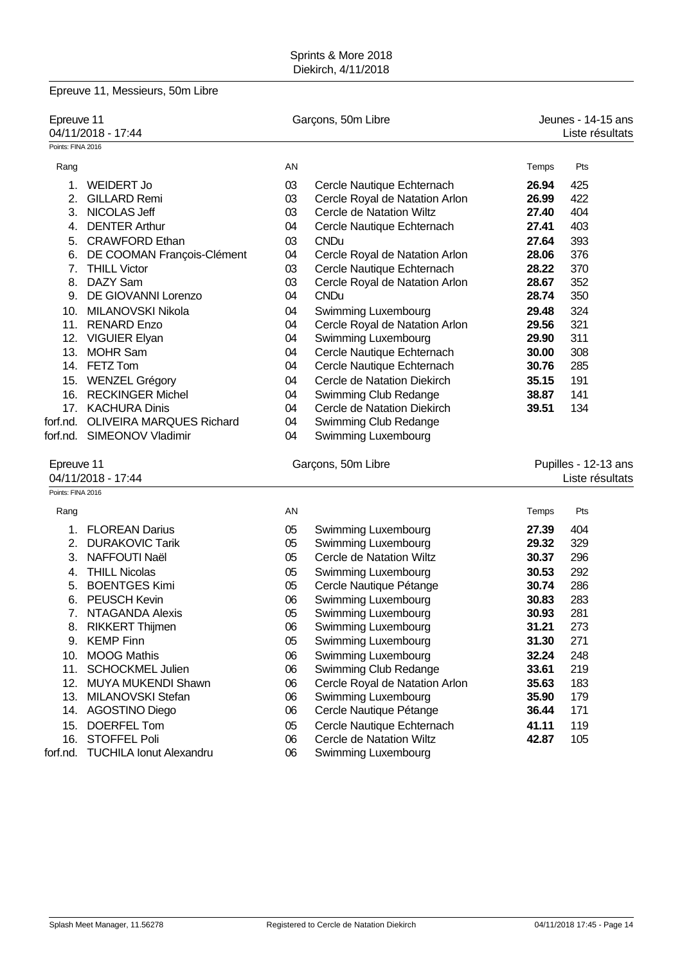|                   | Epreuve 11, Messieurs, 50m Libre  |                    |                                 |                      |                 |  |
|-------------------|-----------------------------------|--------------------|---------------------------------|----------------------|-----------------|--|
| Epreuve 11        |                                   |                    | Garçons, 50m Libre              | Jeunes - 14-15 ans   |                 |  |
|                   | 04/11/2018 - 17:44                |                    |                                 |                      | Liste résultats |  |
| Points: FINA 2016 |                                   |                    |                                 |                      |                 |  |
| Rang              |                                   | AN                 |                                 | Temps                | Pts             |  |
| 1.                | <b>WEIDERT Jo</b>                 | 03                 | Cercle Nautique Echternach      | 26.94                | 425             |  |
| 2.                | <b>GILLARD Remi</b>               | 03                 | Cercle Royal de Natation Arlon  | 26.99                | 422             |  |
|                   | 3. NICOLAS Jeff                   | 03                 | <b>Cercle de Natation Wiltz</b> | 27.40                | 404             |  |
| 4.                | <b>DENTER Arthur</b>              | 04                 | Cercle Nautique Echternach      | 27.41                | 403             |  |
| 5.                | <b>CRAWFORD Ethan</b>             | 03                 | <b>CNDu</b>                     | 27.64                | 393             |  |
| 6.                | DE COOMAN François-Clément        | 04                 | Cercle Royal de Natation Arlon  | 28.06                | 376             |  |
| 7.                | <b>THILL Victor</b>               | 03                 | Cercle Nautique Echternach      | 28.22                | 370             |  |
| 8.                | DAZY Sam                          | 03                 | Cercle Royal de Natation Arlon  | 28.67                | 352             |  |
| 9.                | DE GIOVANNI Lorenzo               | 04                 | <b>CNDu</b>                     | 28.74                | 350             |  |
| 10.               | MILANOVSKI Nikola                 | 04                 | Swimming Luxembourg             | 29.48                | 324             |  |
| 11.               | <b>RENARD Enzo</b>                | 04                 | Cercle Royal de Natation Arlon  | 29.56                | 321             |  |
|                   | 12. VIGUIER Elyan                 | 04                 | Swimming Luxembourg             | 29.90                | 311             |  |
| 13.               | <b>MOHR Sam</b>                   | 04                 | Cercle Nautique Echternach      | 30.00                | 308             |  |
|                   | 14. FETZ Tom                      | 04                 | Cercle Nautique Echternach      | 30.76                | 285             |  |
|                   | 15. WENZEL Grégory                | 04                 | Cercle de Natation Diekirch     | 35.15                | 191             |  |
|                   | 16. RECKINGER Michel              | 04                 | Swimming Club Redange           | 38.87                | 141             |  |
|                   | 17. KACHURA Dinis                 | 04                 | Cercle de Natation Diekirch     | 39.51                | 134             |  |
|                   | forf.nd. OLIVEIRA MARQUES Richard | 04                 | Swimming Club Redange           |                      |                 |  |
|                   | forf.nd. SIMEONOV Vladimir        | 04                 | Swimming Luxembourg             |                      |                 |  |
| Epreuve 11        |                                   | Garçons, 50m Libre |                                 | Pupilles - 12-13 ans |                 |  |
|                   | 04/11/2018 - 17:44                |                    |                                 |                      | Liste résultats |  |
| Points: FINA 2016 |                                   |                    |                                 |                      |                 |  |
| Rang              |                                   | AN                 |                                 | Temps                | Pts             |  |
| 1.                | <b>FLOREAN Darius</b>             | 05                 | Swimming Luxembourg             | 27.39                | 404             |  |
| 2.                | <b>DURAKOVIC Tarik</b>            | 05                 | Swimming Luxembourg             | 29.32                | 329             |  |
| 3.                | <b>NAFFOUTI Naël</b>              | 05                 | Cercle de Natation Wiltz        | 30.37                | 296             |  |
| 4.                | <b>THILL Nicolas</b>              | 05                 | Swimming Luxembourg             | 30.53                | 292             |  |
| 5.                | <b>BOENTGES Kimi</b>              | 05                 | Cercle Nautique Pétange         | 30.74                | 286             |  |
| 6.                | PEUSCH Kevin                      | 06                 | Swimming Luxembourg             | 30.83                | 283             |  |
| 7.                | <b>NTAGANDA Alexis</b>            | 05                 | Swimming Luxembourg             | 30.93                | 281             |  |
| 8.                | <b>RIKKERT Thijmen</b>            | 06                 | Swimming Luxembourg             | 31.21                | 273             |  |
| 9.                | <b>KEMP Finn</b>                  | 05                 | Swimming Luxembourg             | 31.30                | 271             |  |
| 10.               | <b>MOOG Mathis</b>                | 06                 | Swimming Luxembourg             | 32.24                | 248             |  |
| 11.               | <b>SCHOCKMEL Julien</b>           | 06                 | Swimming Club Redange           | 33.61                | 219             |  |
|                   | 12. MUYA MUKENDI Shawn            | 06                 | Cercle Royal de Natation Arlon  | 35.63                | 183             |  |
|                   | 13. MILANOVSKI Stefan             | 06                 | Swimming Luxembourg             | 35.90                | 179             |  |
|                   | 14. AGOSTINO Diego                | 06                 | Cercle Nautique Pétange         | 36.44                | 171             |  |
| 15.               | <b>DOERFEL Tom</b>                | 05                 | Cercle Nautique Echternach      | 41.11                | 119             |  |
|                   | 16. STOFFEL Poli                  | 06                 | Cercle de Natation Wiltz        | 42.87                | 105             |  |

forf.nd. TUCHILA Ionut Alexandru 06 Swimming Luxembourg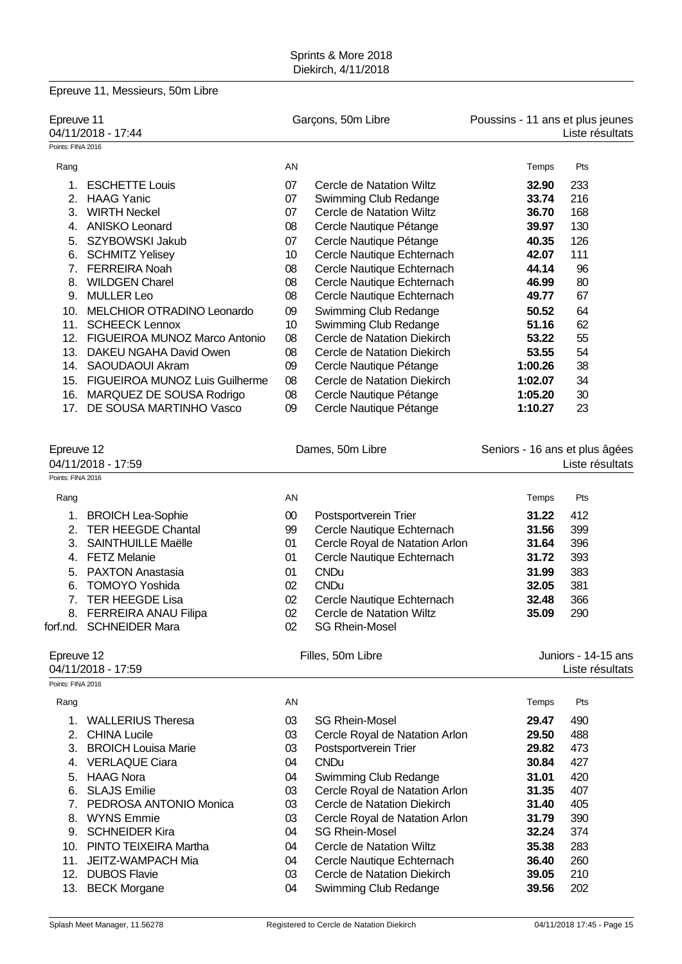|                   | Epreuve 11, Messieurs, 50m Libre   |        |                                |                                  |                                |
|-------------------|------------------------------------|--------|--------------------------------|----------------------------------|--------------------------------|
| Epreuve 11        | 04/11/2018 - 17:44                 |        | Garçons, 50m Libre             | Poussins - 11 ans et plus jeunes | Liste résultats                |
| Points: FINA 2016 |                                    |        |                                |                                  |                                |
| Rang              |                                    | AN     |                                | Temps                            | Pts                            |
| 1.                | <b>ESCHETTE Louis</b>              | 07     | Cercle de Natation Wiltz       | 32.90                            | 233                            |
|                   | 2. HAAG Yanic                      | 07     | Swimming Club Redange          | 33.74                            | 216                            |
| 3.                | <b>WIRTH Neckel</b>                | 07     | Cercle de Natation Wiltz       | 36.70                            | 168                            |
| 4.                | <b>ANISKO Leonard</b>              | 08     | Cercle Nautique Pétange        | 39.97                            | 130                            |
| 5.                | SZYBOWSKI Jakub                    | 07     | Cercle Nautique Pétange        | 40.35                            | 126                            |
| 6.                | <b>SCHMITZ Yelisey</b>             | 10     | Cercle Nautique Echternach     | 42.07                            | 111                            |
|                   | 7. FERREIRA Noah                   | 08     | Cercle Nautique Echternach     | 44.14                            | 96                             |
| 8.                | <b>WILDGEN Charel</b>              | 08     | Cercle Nautique Echternach     | 46.99                            | 80                             |
| 9.                | <b>MULLER Leo</b>                  | 08     | Cercle Nautique Echternach     | 49.77                            | 67                             |
| 10.               | <b>MELCHIOR OTRADINO Leonardo</b>  | 09     | Swimming Club Redange          | 50.52                            | 64                             |
| 11.               | <b>SCHEECK Lennox</b>              | 10     | Swimming Club Redange          | 51.16                            | 62                             |
|                   | 12. FIGUEIROA MUNOZ Marco Antonio  | 08     | Cercle de Natation Diekirch    | 53.22                            | 55                             |
|                   | 13. DAKEU NGAHA David Owen         | 08     | Cercle de Natation Diekirch    | 53.55                            | 54                             |
| 14.               | SAOUDAOUI Akram                    | 09     | Cercle Nautique Pétange        | 1:00.26                          | 38                             |
|                   | 15. FIGUEIROA MUNOZ Luis Guilherme | 08     | Cercle de Natation Diekirch    | 1:02.07                          | 34                             |
|                   | 16. MARQUEZ DE SOUSA Rodrigo       | 08     | Cercle Nautique Pétange        | 1:05.20                          | 30                             |
| 17.               | DE SOUSA MARTINHO Vasco            | 09     | Cercle Nautique Pétange        | 1:10.27                          | 23                             |
| Epreuve 12        |                                    |        | Dames, 50m Libre               |                                  | Seniors - 16 ans et plus âgées |
|                   | 04/11/2018 - 17:59                 |        |                                |                                  | Liste résultats                |
| Points: FINA 2016 |                                    |        |                                |                                  |                                |
| Rang              |                                    | AN     |                                | Temps                            | Pts                            |
|                   | 1. BROICH Lea-Sophie               | $00\,$ | Postsportverein Trier          | 31.22                            | 412                            |
| 2.                | <b>TER HEEGDE Chantal</b>          | 99     | Cercle Nautique Echternach     | 31.56                            | 399                            |
| 3.                | <b>SAINTHUILLE Maëlle</b>          | 01     | Cercle Royal de Natation Arlon | 31.64                            | 396                            |
| 4.                | <b>FETZ Melanie</b>                | 01     | Cercle Nautique Echternach     | 31.72                            | 393                            |
| 5.                | <b>PAXTON Anastasia</b>            | 01     | <b>CNDu</b>                    | 31.99                            | 383                            |
| 6.                | <b>TOMOYO Yoshida</b>              | 02     | <b>CNDu</b>                    | 32.05                            | 381                            |
|                   | 7. TER HEEGDE Lisa                 | 02     | Cercle Nautique Echternach     | 32.48                            | 366                            |
|                   | 8. FERREIRA ANAU Filipa            | 02     | Cercle de Natation Wiltz       | 35.09                            | 290                            |
|                   | forf.nd. SCHNEIDER Mara            | 02     | <b>SG Rhein-Mosel</b>          |                                  |                                |
| Epreuve 12        | 04/11/2018 - 17:59                 |        | Filles, 50m Libre              |                                  | Juniors - 14-15 ans            |
| Points: FINA 2016 |                                    |        |                                |                                  | Liste résultats                |
| Rang              |                                    | AN     |                                | Temps                            | Pts                            |
| 1.                | <b>WALLERIUS Theresa</b>           | 03     | <b>SG Rhein-Mosel</b>          | 29.47                            | 490                            |
|                   | 2. CHINA Lucile                    | 03     | Cercle Royal de Natation Arlon | 29.50                            | 488                            |
|                   | 3. BROICH Louisa Marie             | 03     | Postsportverein Trier          | 29.82                            | 473                            |
|                   | 4. VERLAQUE Ciara                  | 04     | <b>CNDu</b>                    | 30.84                            | 427                            |
|                   | 5. HAAG Nora                       | 04     | Swimming Club Redange          | 31.01                            | 420                            |
| 6.                | <b>SLAJS Emilie</b>                | 03     | Cercle Royal de Natation Arlon | 31.35                            | 407                            |
| 7.                | PEDROSA ANTONIO Monica             | 03     | Cercle de Natation Diekirch    | 31.40                            | 405                            |
|                   | 8. WYNS Emmie                      | 03     | Cercle Royal de Natation Arlon | 31.79                            | 390                            |
|                   | 9. SCHNEIDER Kira                  | 04     | <b>SG Rhein-Mosel</b>          | 32.24                            | 374                            |
|                   | 10. PINTO TEIXEIRA Martha          | 04     | Cercle de Natation Wiltz       | 35.38                            | 283                            |
| 11.               | JEITZ-WAMPACH Mia                  | 04     | Cercle Nautique Echternach     | 36.40                            | 260                            |
|                   | 12. DUBOS Flavie                   | 03     | Cercle de Natation Diekirch    | 39.05                            | 210                            |
|                   | 13. BECK Morgane                   | 04     | Swimming Club Redange          | 39.56                            | 202                            |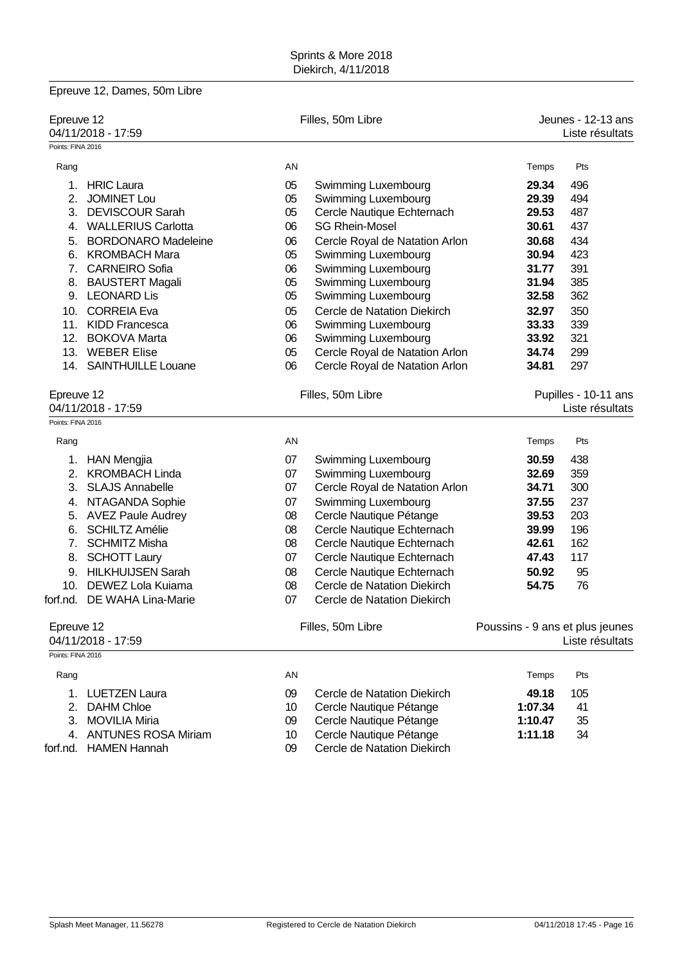|                                  | Epreuve 12, Dames, 50m Libre |    |                                |                                       |                                         |  |
|----------------------------------|------------------------------|----|--------------------------------|---------------------------------------|-----------------------------------------|--|
| Epreuve 12<br>04/11/2018 - 17:59 |                              |    | Filles, 50m Libre              | Jeunes - 12-13 ans<br>Liste résultats |                                         |  |
| Points: FINA 2016                |                              |    |                                |                                       |                                         |  |
| Rang                             |                              | AN |                                | Temps                                 | Pts                                     |  |
| 1.                               | <b>HRIC Laura</b>            | 05 | Swimming Luxembourg            | 29.34                                 | 496                                     |  |
| 2.                               | <b>JOMINET Lou</b>           | 05 | Swimming Luxembourg            | 29.39                                 | 494                                     |  |
|                                  | 3. DEVISCOUR Sarah           | 05 | Cercle Nautique Echternach     | 29.53                                 | 487                                     |  |
|                                  | 4. WALLERIUS Carlotta        | 06 | <b>SG Rhein-Mosel</b>          | 30.61                                 | 437                                     |  |
| 5.                               | <b>BORDONARO Madeleine</b>   | 06 | Cercle Royal de Natation Arlon | 30.68                                 | 434                                     |  |
|                                  | 6. KROMBACH Mara             | 05 | Swimming Luxembourg            | 30.94                                 | 423                                     |  |
|                                  | 7. CARNEIRO Sofia            | 06 | Swimming Luxembourg            | 31.77                                 | 391                                     |  |
|                                  | 8. BAUSTERT Magali           | 05 | Swimming Luxembourg            | 31.94                                 | 385                                     |  |
|                                  | 9. LEONARD Lis               | 05 | <b>Swimming Luxembourg</b>     | 32.58                                 | 362                                     |  |
|                                  | 10. CORREIA Eva              | 05 | Cercle de Natation Diekirch    | 32.97                                 | 350                                     |  |
|                                  | 11. KIDD Francesca           | 06 | Swimming Luxembourg            | 33.33                                 | 339                                     |  |
|                                  | 12. BOKOVA Marta             | 06 | Swimming Luxembourg            | 33.92                                 | 321                                     |  |
|                                  | 13. WEBER Elise              | 05 | Cercle Royal de Natation Arlon | 34.74                                 | 299                                     |  |
|                                  | 14. SAINTHUILLE Louane       | 06 | Cercle Royal de Natation Arlon | 34.81                                 | 297                                     |  |
| Epreuve 12<br>04/11/2018 - 17:59 |                              |    | Filles, 50m Libre              |                                       | Pupilles - 10-11 ans<br>Liste résultats |  |
| Points: FINA 2016                |                              |    |                                |                                       |                                         |  |
| Rang                             |                              | AN |                                | Temps                                 | Pts                                     |  |
|                                  | 1. HAN Mengjia               | 07 | Swimming Luxembourg            | 30.59                                 | 438                                     |  |
|                                  | 2. KROMBACH Linda            | 07 | Swimming Luxembourg            | 32.69                                 | 359                                     |  |
| 3.                               | <b>SLAJS Annabelle</b>       | 07 | Cercle Royal de Natation Arlon | 34.71                                 | 300                                     |  |
|                                  | 4. NTAGANDA Sophie           | 07 | <b>Swimming Luxembourg</b>     | 37.55                                 | 237                                     |  |
|                                  | 5. AVEZ Paule Audrey         | 08 | Cercle Nautique Pétange        | 39.53                                 | 203                                     |  |
| 6.                               | <b>SCHILTZ Amélie</b>        | 08 | Cercle Nautique Echternach     | 39.99                                 | 196                                     |  |
|                                  | 7. SCHMITZ Misha             | 08 | Cercle Nautique Echternach     | 42.61                                 | 162                                     |  |
|                                  | 8. SCHOTT Laury              | 07 | Cercle Nautique Echternach     | 47.43                                 | 117                                     |  |
|                                  | 9. HILKHUIJSEN Sarah         | 08 | Cercle Nautique Echternach     | 50.92                                 | 95                                      |  |
|                                  | 10. DEWEZ Lola Kuiama        | 08 | Cercle de Natation Diekirch    | 54.75                                 | 76                                      |  |
|                                  | forf.nd. DE WAHA Lina-Marie  | 07 | Cercle de Natation Diekirch    |                                       |                                         |  |
| Epreuve 12<br>04/11/2018 - 17:59 |                              |    | Filles, 50m Libre              | Poussins - 9 ans et plus jeunes       | Liste résultats                         |  |
| Points: FINA 2016                |                              |    |                                |                                       |                                         |  |
| Rang                             |                              | AN |                                | Temps                                 | Pts                                     |  |
|                                  | 1. LUETZEN Laura             | 09 | Cercle de Natation Diekirch    | 49.18                                 | 105                                     |  |
|                                  | 2. DAHM Chloe                | 10 | Cercle Nautique Pétange        | 1:07.34                               | 41                                      |  |
| 3.                               | <b>MOVILIA Miria</b>         | 09 | Cercle Nautique Pétange        | 1:10.47                               | 35                                      |  |
|                                  | 4. ANTUNES ROSA Miriam       | 10 | Cercle Nautique Pétange        | 1:11.18                               | 34                                      |  |

forf.nd. HAMEN Hannah 09 Cercle de Natation Diekirch